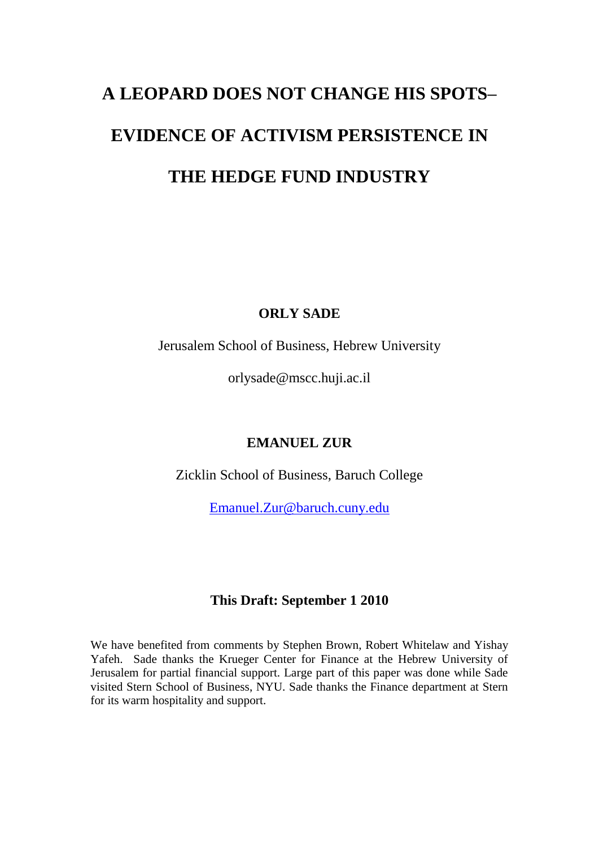# **A LEOPARD DOES NOT CHANGE HIS SPOTS– EVIDENCE OF ACTIVISM PERSISTENCE IN THE HEDGE FUND INDUSTRY**

# **ORLY SADE**

Jerusalem School of Business, Hebrew University

orlysade@mscc.huji.ac.il

# **EMANUEL ZUR**

Zicklin School of Business, Baruch College

[Emanuel.Zur@baruch.cuny.edu](mailto:Emanuel.Zur@baruch.cuny.edu)

# **This Draft: September 1 2010**

We have benefited from comments by Stephen Brown, Robert Whitelaw and Yishay Yafeh. Sade thanks the Krueger Center for Finance at the Hebrew University of Jerusalem for partial financial support. Large part of this paper was done while Sade visited Stern School of Business, NYU. Sade thanks the Finance department at Stern for its warm hospitality and support.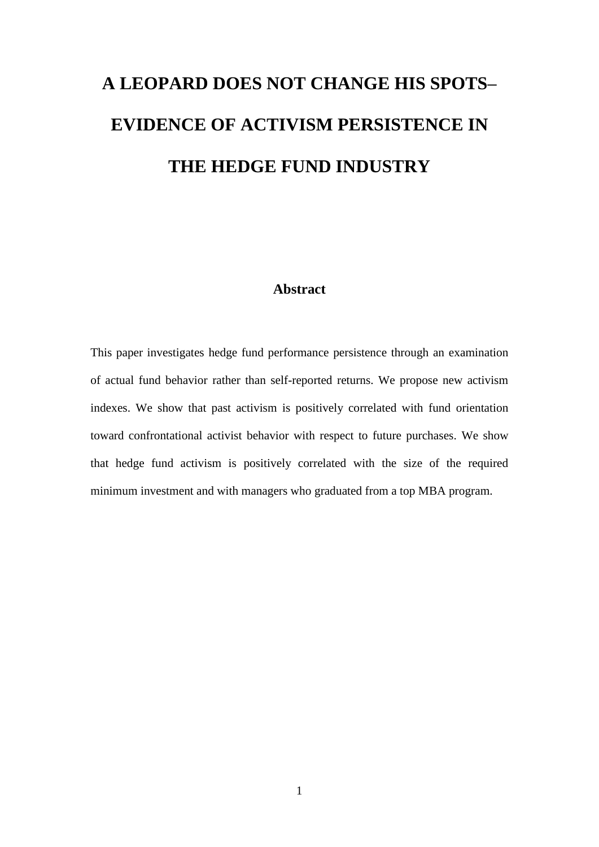# **A LEOPARD DOES NOT CHANGE HIS SPOTS– EVIDENCE OF ACTIVISM PERSISTENCE IN THE HEDGE FUND INDUSTRY**

#### **Abstract**

This paper investigates hedge fund performance persistence through an examination of actual fund behavior rather than self-reported returns. We propose new activism indexes. We show that past activism is positively correlated with fund orientation toward confrontational activist behavior with respect to future purchases. We show that hedge fund activism is positively correlated with the size of the required minimum investment and with managers who graduated from a top MBA program.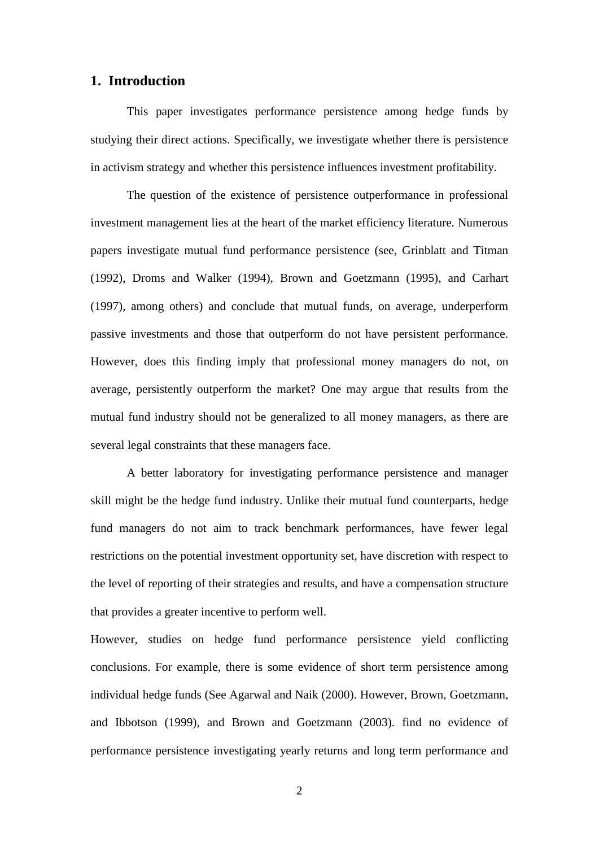#### **1. Introduction**

This paper investigates performance persistence among hedge funds by studying their direct actions. Specifically, we investigate whether there is persistence in activism strategy and whether this persistence influences investment profitability.

The question of the existence of persistence outperformance in professional investment management lies at the heart of the market efficiency literature. Numerous papers investigate mutual fund performance persistence (see, Grinblatt and Titman (1992), Droms and Walker (1994), Brown and Goetzmann (1995), and Carhart (1997), among others) and conclude that mutual funds, on average, underperform passive investments and those that outperform do not have persistent performance. However, does this finding imply that professional money managers do not, on average, persistently outperform the market? One may argue that results from the mutual fund industry should not be generalized to all money managers, as there are several legal constraints that these managers face.

A better laboratory for investigating performance persistence and manager skill might be the hedge fund industry. Unlike their mutual fund counterparts, hedge fund managers do not aim to track benchmark performances, have fewer legal restrictions on the potential investment opportunity set, have discretion with respect to the level of reporting of their strategies and results, and have a compensation structure that provides a greater incentive to perform well.

However, studies on hedge fund performance persistence yield conflicting conclusions. For example, there is some evidence of short term persistence among individual hedge funds (See Agarwal and Naik (2000). However, Brown, Goetzmann, and Ibbotson (1999), and Brown and Goetzmann (2003). find no evidence of performance persistence investigating yearly returns and long term performance and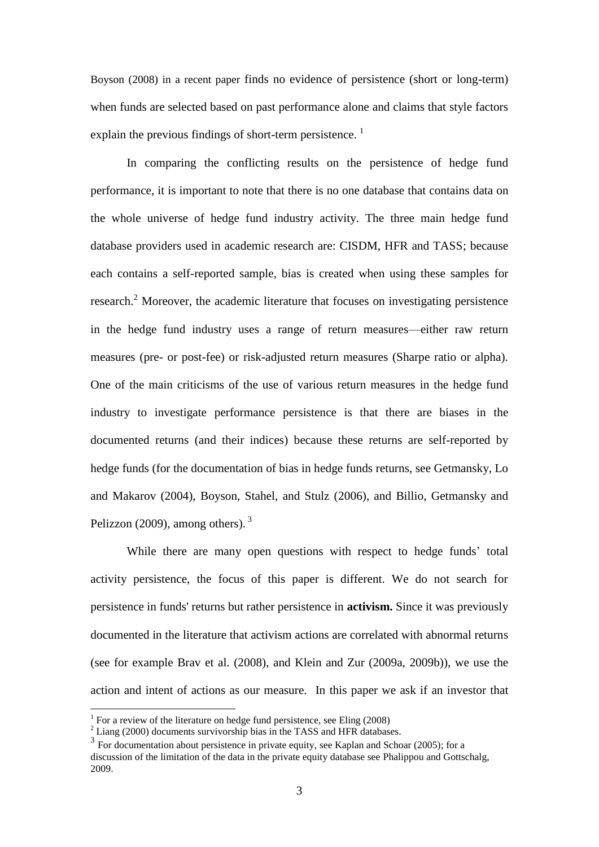Boyson (2008) in a recent paper finds no evidence of persistence (short or long-term) when funds are selected based on past performance alone and claims that style factors explain the previous findings of short-term persistence.<sup>1</sup>

In comparing the conflicting results on the persistence of hedge fund performance, it is important to note that there is no one database that contains data on the whole universe of hedge fund industry activity. The three main hedge fund database providers used in academic research are: CISDM, HFR and TASS; because each contains a self-reported sample, bias is created when using these samples for research.<sup>2</sup> Moreover, the academic literature that focuses on investigating persistence in the hedge fund industry uses a range of return measures—either raw return measures (pre- or post-fee) or risk-adjusted return measures (Sharpe ratio or alpha). One of the main criticisms of the use of various return measures in the hedge fund industry to investigate performance persistence is that there are biases in the documented returns (and their indices) because these returns are self-reported by hedge funds (for the documentation of bias in hedge funds returns, see Getmansky, Lo and Makarov (2004), Boyson, Stahel, and Stulz (2006), and Billio, Getmansky and Pelizzon (2009), among others).<sup>3</sup>

While there are many open questions with respect to hedge funds' total activity persistence, the focus of this paper is different. We do not search for persistence in funds' returns but rather persistence in **activism.** Since it was previously documented in the literature that activism actions are correlated with abnormal returns (see for example Brav et al. (2008), and Klein and Zur (2009a, 2009b)), we use the action and intent of actions as our measure. In this paper we ask if an investor that

 $1$  For a review of the literature on hedge fund persistence, see Eling (2008)

 $2$  Liang (2000) documents survivorship bias in the TASS and HFR databases.

<sup>&</sup>lt;sup>3</sup> For documentation about persistence in private equity, see Kaplan and Schoar (2005); for a discussion of the limitation of the data in the private equity database see Phalippou and Gottschalg, 2009.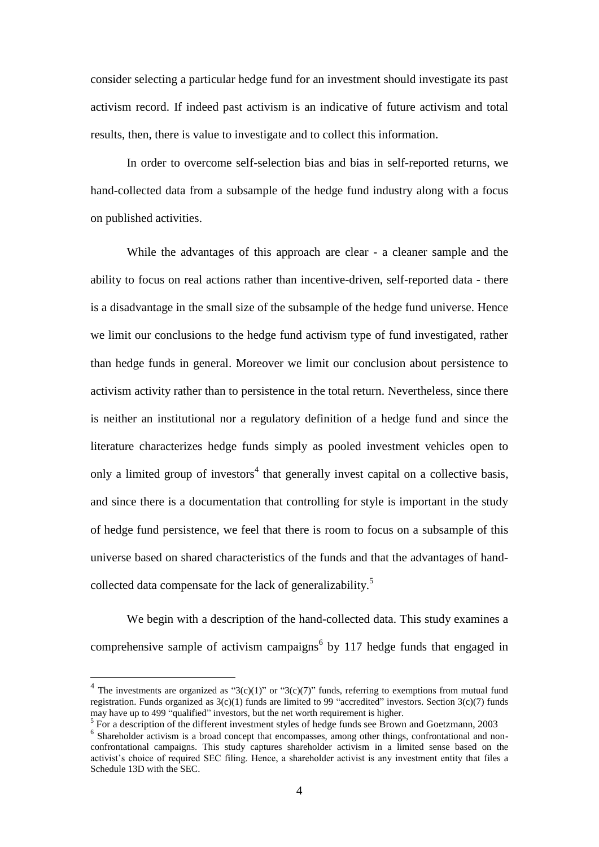consider selecting a particular hedge fund for an investment should investigate its past activism record. If indeed past activism is an indicative of future activism and total results, then, there is value to investigate and to collect this information.

In order to overcome self-selection bias and bias in self-reported returns, we hand-collected data from a subsample of the hedge fund industry along with a focus on published activities.

While the advantages of this approach are clear - a cleaner sample and the ability to focus on real actions rather than incentive-driven, self-reported data - there is a disadvantage in the small size of the subsample of the hedge fund universe. Hence we limit our conclusions to the hedge fund activism type of fund investigated, rather than hedge funds in general. Moreover we limit our conclusion about persistence to activism activity rather than to persistence in the total return. Nevertheless, since there is neither an institutional nor a regulatory definition of a hedge fund and since the literature characterizes hedge funds simply as pooled investment vehicles open to only a limited group of investors<sup>4</sup> that generally invest capital on a collective basis, and since there is a documentation that controlling for style is important in the study of hedge fund persistence, we feel that there is room to focus on a subsample of this universe based on shared characteristics of the funds and that the advantages of handcollected data compensate for the lack of generalizability.<sup>5</sup>

We begin with a description of the hand-collected data. This study examines a comprehensive sample of activism campaigns<sup>6</sup> by 117 hedge funds that engaged in

<sup>&</sup>lt;sup>4</sup> The investments are organized as "3(c)(1)" or "3(c)(7)" funds, referring to exemptions from mutual fund registration. Funds organized as  $3(c)(1)$  funds are limited to 99 "accredited" investors. Section  $3(c)(7)$  funds may have up to 499 "qualified" investors, but the net worth requirement is higher.

<sup>&</sup>lt;sup>5</sup> For a description of the different investment styles of hedge funds see Brown and Goetzmann, 2003

<sup>&</sup>lt;sup>6</sup> Shareholder activism is a broad concept that encompasses, among other things, confrontational and nonconfrontational campaigns. This study captures shareholder activism in a limited sense based on the activist's choice of required SEC filing. Hence, a shareholder activist is any investment entity that files a Schedule 13D with the SEC.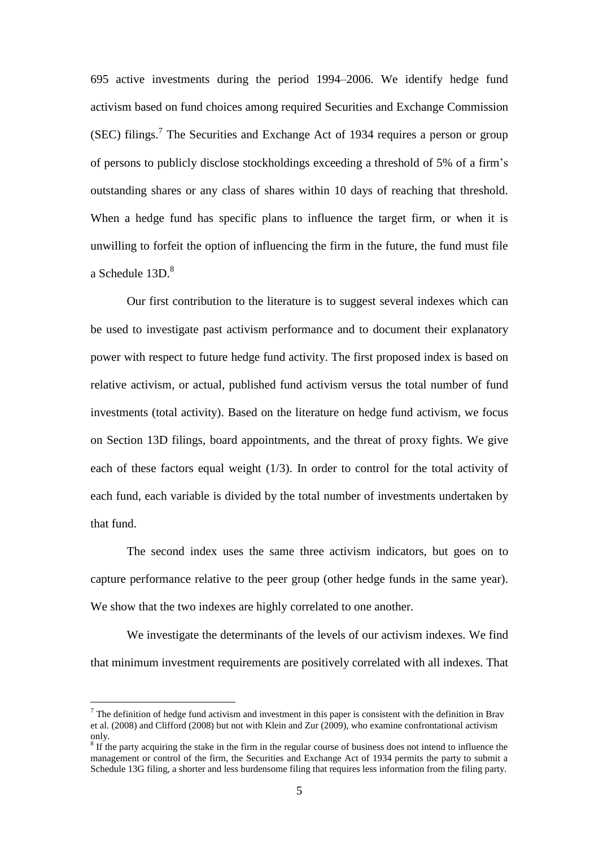695 active investments during the period 1994–2006. We identify hedge fund activism based on fund choices among required Securities and Exchange Commission (SEC) filings. 7 The Securities and Exchange Act of 1934 requires a person or group of persons to publicly disclose stockholdings exceeding a threshold of 5% of a firm's outstanding shares or any class of shares within 10 days of reaching that threshold. When a hedge fund has specific plans to influence the target firm, or when it is unwilling to forfeit the option of influencing the firm in the future, the fund must file a Schedule 13D. 8

Our first contribution to the literature is to suggest several indexes which can be used to investigate past activism performance and to document their explanatory power with respect to future hedge fund activity. The first proposed index is based on relative activism, or actual, published fund activism versus the total number of fund investments (total activity). Based on the literature on hedge fund activism, we focus on Section 13D filings, board appointments, and the threat of proxy fights. We give each of these factors equal weight (1/3). In order to control for the total activity of each fund, each variable is divided by the total number of investments undertaken by that fund.

The second index uses the same three activism indicators, but goes on to capture performance relative to the peer group (other hedge funds in the same year). We show that the two indexes are highly correlated to one another.

We investigate the determinants of the levels of our activism indexes. We find that minimum investment requirements are positively correlated with all indexes. That

 $<sup>7</sup>$  The definition of hedge fund activism and investment in this paper is consistent with the definition in Brav</sup> et al. (2008) and Clifford (2008) but not with Klein and Zur (2009), who examine confrontational activism only.

<sup>&</sup>lt;sup>8</sup> If the party acquiring the stake in the firm in the regular course of business does not intend to influence the management or control of the firm, the Securities and Exchange Act of 1934 permits the party to submit a Schedule 13G filing, a shorter and less burdensome filing that requires less information from the filing party.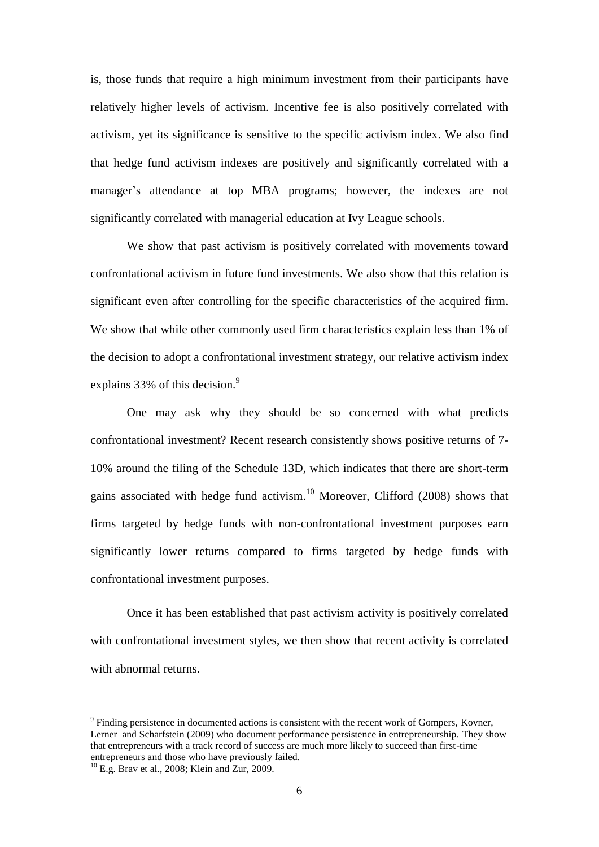is, those funds that require a high minimum investment from their participants have relatively higher levels of activism. Incentive fee is also positively correlated with activism, yet its significance is sensitive to the specific activism index. We also find that hedge fund activism indexes are positively and significantly correlated with a manager's attendance at top MBA programs; however, the indexes are not significantly correlated with managerial education at Ivy League schools.

We show that past activism is positively correlated with movements toward confrontational activism in future fund investments. We also show that this relation is significant even after controlling for the specific characteristics of the acquired firm. We show that while other commonly used firm characteristics explain less than 1% of the decision to adopt a confrontational investment strategy, our relative activism index explains 33% of this decision.<sup>9</sup>

One may ask why they should be so concerned with what predicts confrontational investment? Recent research consistently shows positive returns of 7- 10% around the filing of the Schedule 13D, which indicates that there are short-term gains associated with hedge fund activism.<sup>10</sup> Moreover, Clifford (2008) shows that firms targeted by hedge funds with non-confrontational investment purposes earn significantly lower returns compared to firms targeted by hedge funds with confrontational investment purposes.

Once it has been established that past activism activity is positively correlated with confrontational investment styles, we then show that recent activity is correlated with abnormal returns.

<sup>&</sup>lt;sup>9</sup> Finding persistence in documented actions is consistent with the recent work of Gompers, Kovner, Lerner and Scharfstein (2009) who document performance persistence in entrepreneurship. They show that entrepreneurs with a track record of success are much more likely to succeed than first-time entrepreneurs and those who have previously failed.

 $^{10}$  E.g. Brav et al., 2008; Klein and Zur, 2009.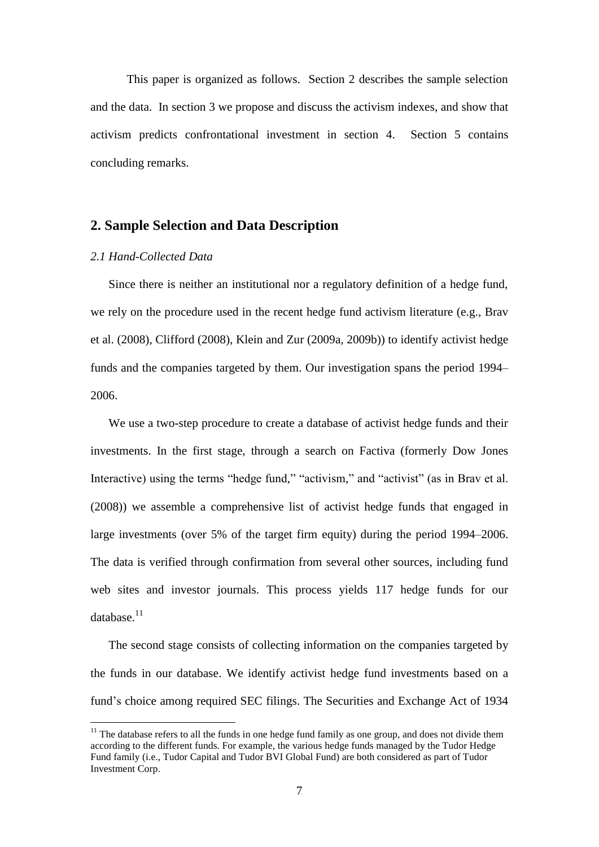This paper is organized as follows. Section 2 describes the sample selection and the data. In section 3 we propose and discuss the activism indexes, and show that activism predicts confrontational investment in section 4. Section 5 contains concluding remarks.

## **2. Sample Selection and Data Description**

#### *2.1 Hand-Collected Data*

1

Since there is neither an institutional nor a regulatory definition of a hedge fund, we rely on the procedure used in the recent hedge fund activism literature (e.g., Brav et al. (2008), Clifford (2008), Klein and Zur (2009a, 2009b)) to identify activist hedge funds and the companies targeted by them. Our investigation spans the period 1994– 2006.

We use a two-step procedure to create a database of activist hedge funds and their investments. In the first stage, through a search on Factiva (formerly Dow Jones Interactive) using the terms "hedge fund," "activism," and "activist" (as in Brav et al. (2008)) we assemble a comprehensive list of activist hedge funds that engaged in large investments (over 5% of the target firm equity) during the period 1994–2006. The data is verified through confirmation from several other sources, including fund web sites and investor journals. This process yields 117 hedge funds for our database. $11$ 

The second stage consists of collecting information on the companies targeted by the funds in our database. We identify activist hedge fund investments based on a fund's choice among required SEC filings. The Securities and Exchange Act of 1934

 $11$  The database refers to all the funds in one hedge fund family as one group, and does not divide them according to the different funds. For example, the various hedge funds managed by the Tudor Hedge Fund family (i.e., Tudor Capital and Tudor BVI Global Fund) are both considered as part of Tudor Investment Corp.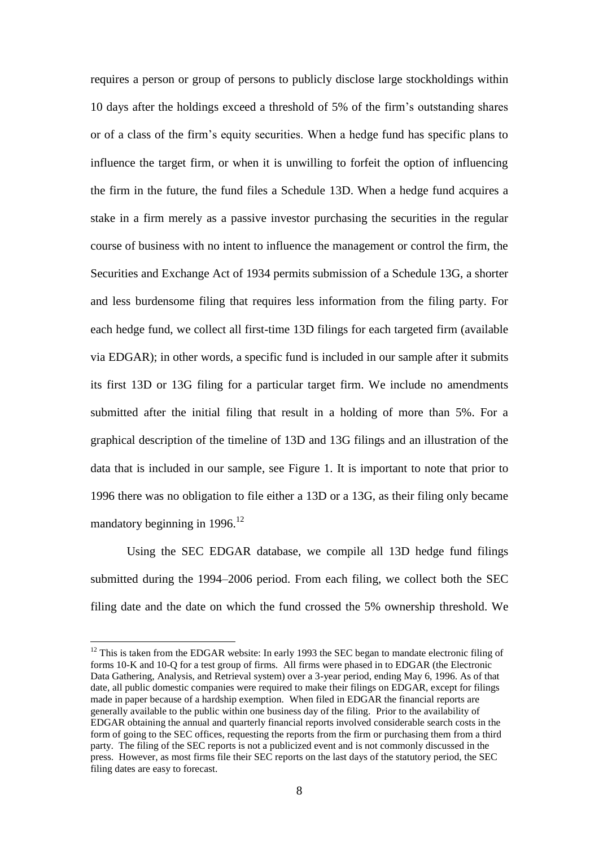requires a person or group of persons to publicly disclose large stockholdings within 10 days after the holdings exceed a threshold of 5% of the firm's outstanding shares or of a class of the firm's equity securities. When a hedge fund has specific plans to influence the target firm, or when it is unwilling to forfeit the option of influencing the firm in the future, the fund files a Schedule 13D. When a hedge fund acquires a stake in a firm merely as a passive investor purchasing the securities in the regular course of business with no intent to influence the management or control the firm, the Securities and Exchange Act of 1934 permits submission of a Schedule 13G, a shorter and less burdensome filing that requires less information from the filing party. For each hedge fund, we collect all first-time 13D filings for each targeted firm (available via EDGAR); in other words, a specific fund is included in our sample after it submits its first 13D or 13G filing for a particular target firm. We include no amendments submitted after the initial filing that result in a holding of more than 5%. For a graphical description of the timeline of 13D and 13G filings and an illustration of the data that is included in our sample, see Figure 1. It is important to note that prior to 1996 there was no obligation to file either a 13D or a 13G, as their filing only became mandatory beginning in  $1996$ <sup>12</sup>

Using the SEC EDGAR database, we compile all 13D hedge fund filings submitted during the 1994–2006 period. From each filing, we collect both the SEC filing date and the date on which the fund crossed the 5% ownership threshold. We

 $12$  This is taken from the EDGAR website: In early 1993 the SEC began to mandate electronic filing of forms 10-K and 10-Q for a test group of firms. All firms were phased in to EDGAR (the Electronic Data Gathering, Analysis, and Retrieval system) over a 3-year period, ending May 6, 1996. As of that date, all public domestic companies were required to make their filings on EDGAR, except for filings made in paper because of a hardship exemption. When filed in EDGAR the financial reports are generally available to the public within one business day of the filing. Prior to the availability of EDGAR obtaining the annual and quarterly financial reports involved considerable search costs in the form of going to the SEC offices, requesting the reports from the firm or purchasing them from a third party. The filing of the SEC reports is not a publicized event and is not commonly discussed in the press. However, as most firms file their SEC reports on the last days of the statutory period, the SEC filing dates are easy to forecast.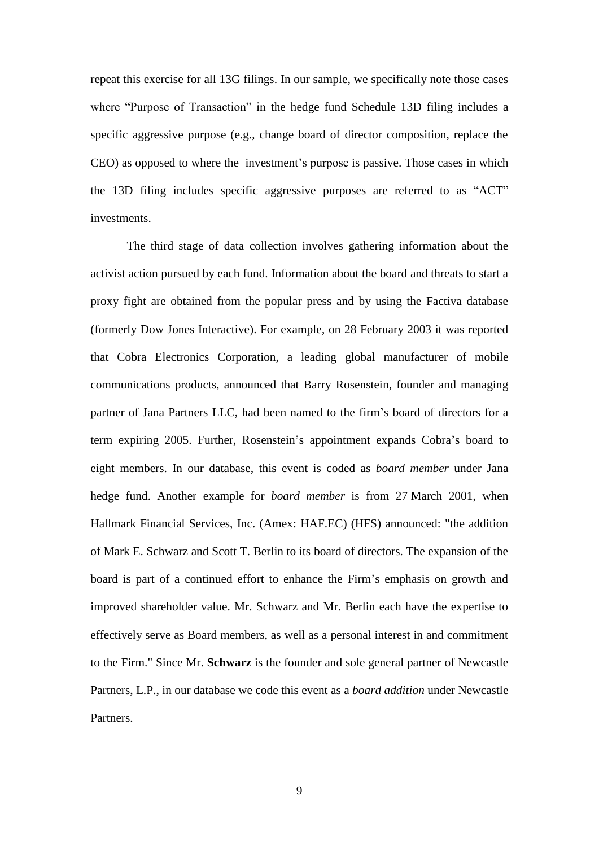repeat this exercise for all 13G filings. In our sample, we specifically note those cases where "Purpose of Transaction" in the hedge fund Schedule 13D filing includes a specific aggressive purpose (e.g., change board of director composition, replace the CEO) as opposed to where the investment's purpose is passive. Those cases in which the 13D filing includes specific aggressive purposes are referred to as "ACT" investments.

The third stage of data collection involves gathering information about the activist action pursued by each fund. Information about the board and threats to start a proxy fight are obtained from the popular press and by using the Factiva database (formerly Dow Jones Interactive). For example, on 28 February 2003 it was reported that Cobra Electronics Corporation, a leading global manufacturer of mobile communications products, announced that Barry Rosenstein, founder and managing partner of Jana Partners LLC, had been named to the firm's board of directors for a term expiring 2005. Further, Rosenstein's appointment expands Cobra's board to eight members. In our database, this event is coded as *board member* under Jana hedge fund. Another example for *board member* is from 27 March 2001, when Hallmark Financial Services, Inc. (Amex: HAF.EC) (HFS) announced: "the addition of Mark E. Schwarz and Scott T. Berlin to its board of directors. The expansion of the board is part of a continued effort to enhance the Firm's emphasis on growth and improved shareholder value. Mr. Schwarz and Mr. Berlin each have the expertise to effectively serve as Board members, as well as a personal interest in and commitment to the Firm." Since Mr. **Schwarz** is the founder and sole general partner of Newcastle Partners, L.P., in our database we code this event as a *board addition* under Newcastle Partners.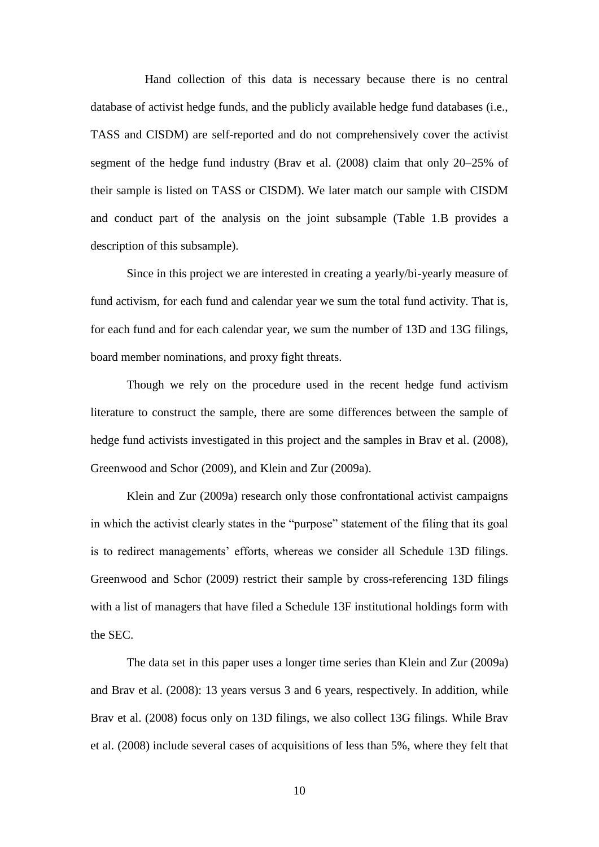Hand collection of this data is necessary because there is no central database of activist hedge funds, and the publicly available hedge fund databases (i.e., TASS and CISDM) are self-reported and do not comprehensively cover the activist segment of the hedge fund industry (Brav et al. (2008) claim that only 20–25% of their sample is listed on TASS or CISDM). We later match our sample with CISDM and conduct part of the analysis on the joint subsample (Table 1.B provides a description of this subsample).

Since in this project we are interested in creating a yearly/bi-yearly measure of fund activism, for each fund and calendar year we sum the total fund activity. That is, for each fund and for each calendar year, we sum the number of 13D and 13G filings, board member nominations, and proxy fight threats.

Though we rely on the procedure used in the recent hedge fund activism literature to construct the sample, there are some differences between the sample of hedge fund activists investigated in this project and the samples in Brav et al. (2008), Greenwood and Schor (2009), and Klein and Zur (2009a).

Klein and Zur (2009a) research only those confrontational activist campaigns in which the activist clearly states in the "purpose" statement of the filing that its goal is to redirect managements' efforts, whereas we consider all Schedule 13D filings. Greenwood and Schor (2009) restrict their sample by cross-referencing 13D filings with a list of managers that have filed a Schedule 13F institutional holdings form with the SEC.

The data set in this paper uses a longer time series than Klein and Zur (2009a) and Brav et al. (2008): 13 years versus 3 and 6 years, respectively. In addition, while Brav et al. (2008) focus only on 13D filings, we also collect 13G filings. While Brav et al. (2008) include several cases of acquisitions of less than 5%, where they felt that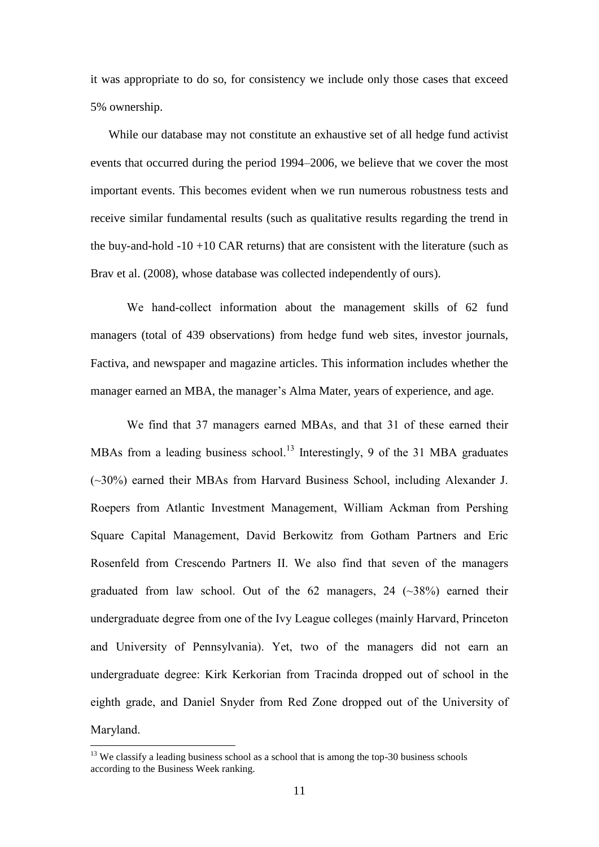it was appropriate to do so, for consistency we include only those cases that exceed 5% ownership.

While our database may not constitute an exhaustive set of all hedge fund activist events that occurred during the period 1994–2006, we believe that we cover the most important events. This becomes evident when we run numerous robustness tests and receive similar fundamental results (such as qualitative results regarding the trend in the buy-and-hold  $-10 +10$  CAR returns) that are consistent with the literature (such as Brav et al. (2008), whose database was collected independently of ours).

We hand-collect information about the management skills of 62 fund managers (total of 439 observations) from hedge fund web sites, investor journals, Factiva, and newspaper and magazine articles. This information includes whether the manager earned an MBA, the manager's Alma Mater, years of experience, and age.

We find that 37 managers earned MBAs, and that 31 of these earned their MBAs from a leading business school.<sup>13</sup> Interestingly, 9 of the 31 MBA graduates (~30%) earned their MBAs from Harvard Business School, including Alexander J. Roepers from Atlantic Investment Management, William Ackman from Pershing Square Capital Management, David Berkowitz from Gotham Partners and Eric Rosenfeld from Crescendo Partners II. We also find that seven of the managers graduated from law school. Out of the  $62$  managers,  $24$  ( $\sim$ 38%) earned their undergraduate degree from one of the Ivy League colleges (mainly Harvard, Princeton and University of Pennsylvania). Yet, two of the managers did not earn an undergraduate degree: Kirk Kerkorian from Tracinda dropped out of school in the eighth grade, and Daniel Snyder from Red Zone dropped out of the [University of](http://en.wikipedia.org/wiki/University_of_Maryland,_College_Park)  [Maryland.](http://en.wikipedia.org/wiki/University_of_Maryland,_College_Park)

 $13$  We classify a leading business school as a school that is among the top-30 business schools according to the Business Week ranking.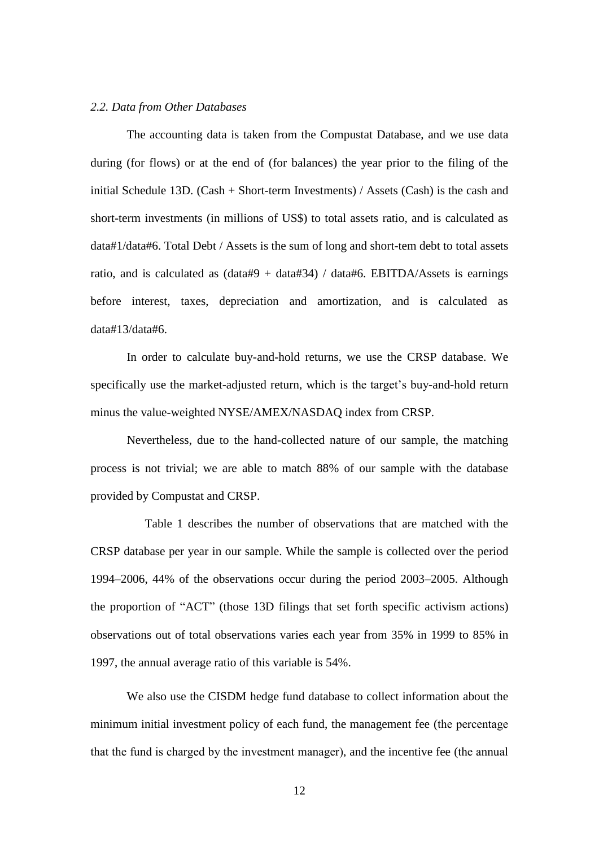#### *2.2. Data from Other Databases*

The accounting data is taken from the Compustat Database, and we use data during (for flows) or at the end of (for balances) the year prior to the filing of the initial Schedule 13D. (Cash + Short-term Investments) / Assets (Cash) is the cash and short-term investments (in millions of US\$) to total assets ratio, and is calculated as data#1/data#6. Total Debt / Assets is the sum of long and short-tem debt to total assets ratio, and is calculated as  $(data#9 + data#34) / data#6$ . EBITDA/Assets is earnings before interest, taxes, depreciation and amortization, and is calculated as data#13/data#6.

In order to calculate buy-and-hold returns, we use the CRSP database. We specifically use the market-adjusted return, which is the target's buy-and-hold return minus the value-weighted NYSE/AMEX/NASDAQ index from CRSP.

Nevertheless, due to the hand-collected nature of our sample, the matching process is not trivial; we are able to match 88% of our sample with the database provided by Compustat and CRSP.

Table 1 describes the number of observations that are matched with the CRSP database per year in our sample. While the sample is collected over the period 1994–2006, 44% of the observations occur during the period 2003–2005. Although the proportion of "ACT" (those 13D filings that set forth specific activism actions) observations out of total observations varies each year from 35% in 1999 to 85% in 1997, the annual average ratio of this variable is 54%.

We also use the CISDM hedge fund database to collect information about the minimum initial investment policy of each fund, the management fee (the percentage that the fund is charged by the investment manager), and the incentive fee (the annual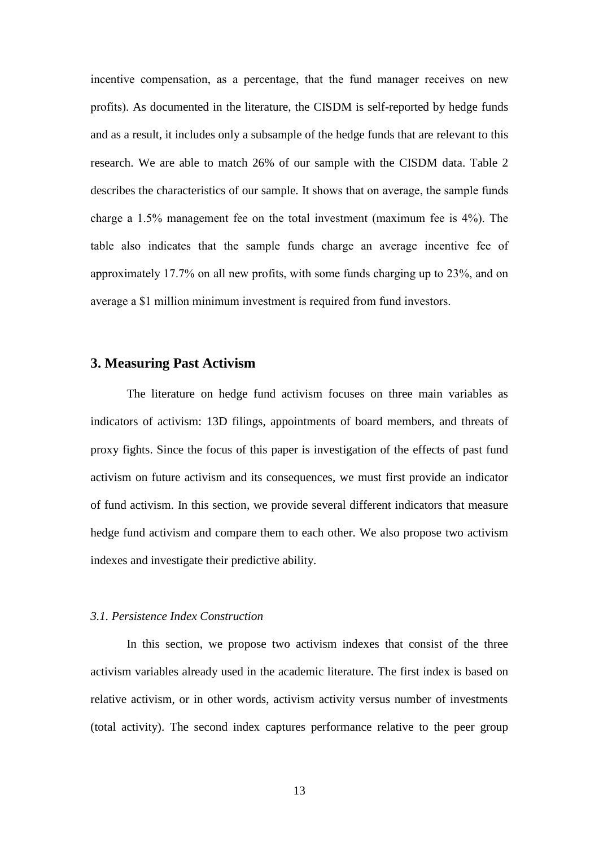incentive compensation, as a percentage, that the fund manager receives on new profits). As documented in the literature, the CISDM is self-reported by hedge funds and as a result, it includes only a subsample of the hedge funds that are relevant to this research. We are able to match 26% of our sample with the CISDM data. Table 2 describes the characteristics of our sample. It shows that on average, the sample funds charge a 1.5% management fee on the total investment (maximum fee is 4%). The table also indicates that the sample funds charge an average incentive fee of approximately 17.7% on all new profits, with some funds charging up to 23%, and on average a \$1 million minimum investment is required from fund investors.

#### **3. Measuring Past Activism**

The literature on hedge fund activism focuses on three main variables as indicators of activism: 13D filings, appointments of board members, and threats of proxy fights. Since the focus of this paper is investigation of the effects of past fund activism on future activism and its consequences, we must first provide an indicator of fund activism. In this section, we provide several different indicators that measure hedge fund activism and compare them to each other. We also propose two activism indexes and investigate their predictive ability.

#### *3.1. Persistence Index Construction*

In this section, we propose two activism indexes that consist of the three activism variables already used in the academic literature. The first index is based on relative activism, or in other words, activism activity versus number of investments (total activity). The second index captures performance relative to the peer group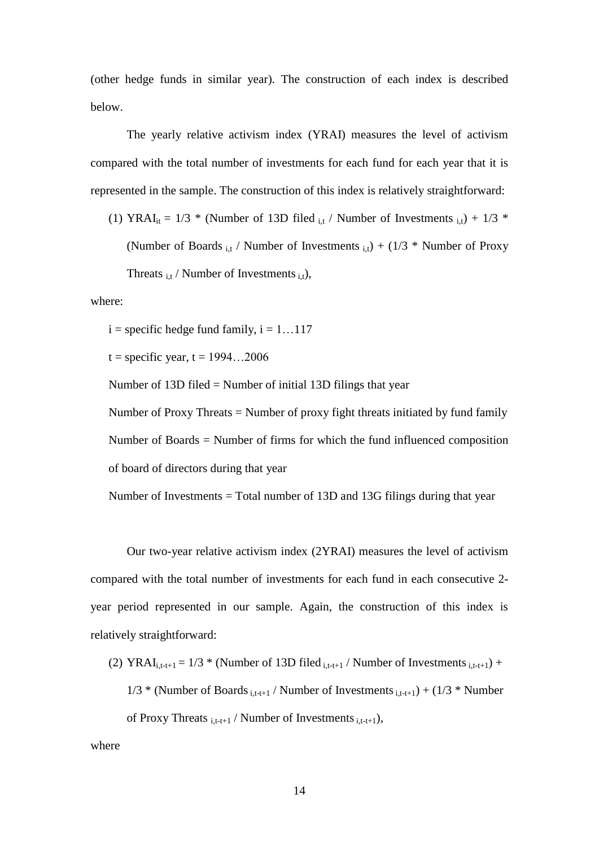(other hedge funds in similar year). The construction of each index is described below.

The yearly relative activism index (YRAI) measures the level of activism compared with the total number of investments for each fund for each year that it is represented in the sample. The construction of this index is relatively straightforward:

(1) YRAI<sub>it</sub> = 1/3 \* (Number of 13D filed  $_{i,t}$  / Number of Investments  $_{i,t}$ ) + 1/3 \* (Number of Boards  $_{i,t}$  / Number of Investments  $_{i,t}$ ) + (1/3 \* Number of Proxy Threats  $_{i,t}$  / Number of Investments  $_{i,t}$ ),

#### where:

 $i =$  specific hedge fund family,  $i = 1...117$ 

 $t =$  specific year,  $t = 1994...2006$ 

Number of 13D filed = Number of initial 13D filings that year

Number of Proxy Threats = Number of proxy fight threats initiated by fund family Number of Boards = Number of firms for which the fund influenced composition of board of directors during that year

Number of Investments = Total number of 13D and 13G filings during that year

Our two-year relative activism index (2YRAI) measures the level of activism compared with the total number of investments for each fund in each consecutive 2 year period represented in our sample. Again, the construction of this index is relatively straightforward:

(2) YRAI<sub>i,t-t+1</sub> =  $1/3$  \* (Number of 13D filed  $_{i,t-t+1}$  / Number of Investments  $_{i,t-t+1}$ ) +

 $1/3$  \* (Number of Boards  $_{i,t-t+1}$  / Number of Investments  $_{i,t-t+1}$ ) + (1/3 \* Number

of Proxy Threats  $_{i,t-t+1}$  / Number of Investments  $_{i,t-t+1}$ ),

where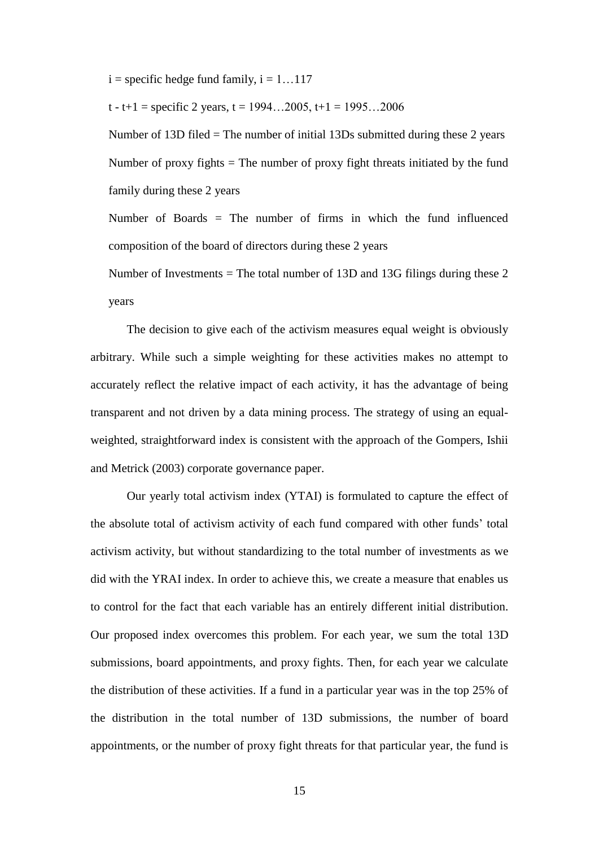$i =$  specific hedge fund family,  $i = 1...117$ 

t - t+1 = specific 2 years, t =  $1994...2005$ , t+1 =  $1995...2006$ 

Number of 13D filed = The number of initial 13Ds submitted during these 2 years Number of proxy fights  $=$  The number of proxy fight threats initiated by the fund family during these 2 years

Number of Boards = The number of firms in which the fund influenced composition of the board of directors during these 2 years

Number of Investments = The total number of 13D and 13G filings during these 2 years

The decision to give each of the activism measures equal weight is obviously arbitrary. While such a simple weighting for these activities makes no attempt to accurately reflect the relative impact of each activity, it has the advantage of being transparent and not driven by a data mining process. The strategy of using an equalweighted, straightforward index is consistent with the approach of the Gompers, Ishii and Metrick (2003) corporate governance paper.

Our yearly total activism index (YTAI) is formulated to capture the effect of the absolute total of activism activity of each fund compared with other funds' total activism activity, but without standardizing to the total number of investments as we did with the YRAI index. In order to achieve this, we create a measure that enables us to control for the fact that each variable has an entirely different initial distribution. Our proposed index overcomes this problem. For each year, we sum the total 13D submissions, board appointments, and proxy fights. Then, for each year we calculate the distribution of these activities. If a fund in a particular year was in the top 25% of the distribution in the total number of 13D submissions, the number of board appointments, or the number of proxy fight threats for that particular year, the fund is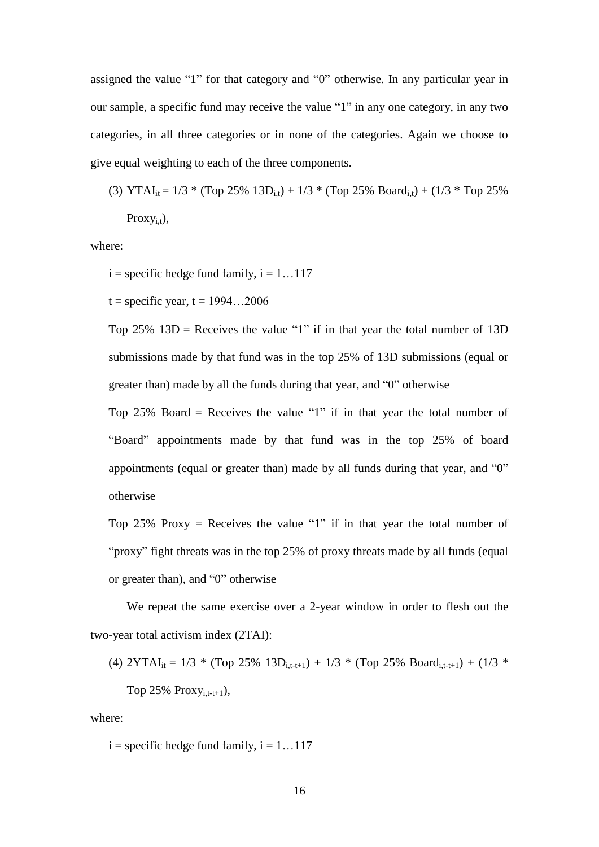assigned the value "1" for that category and "0" otherwise. In any particular year in our sample, a specific fund may receive the value "1" in any one category, in any two categories, in all three categories or in none of the categories. Again we choose to give equal weighting to each of the three components.

(3) YTAI<sub>it</sub> =  $1/3$  \* (Top 25% 13D<sub>i,t</sub>) +  $1/3$  \* (Top 25% Board<sub>i,t</sub>) + ( $1/3$  \* Top 25% Proxy<sub>i.t</sub>),

where:

 $i =$  specific hedge fund family,  $i = 1...117$ 

 $t =$  specific year,  $t = 1994...2006$ 

Top 25%  $13D$  = Receives the value "1" if in that year the total number of 13D submissions made by that fund was in the top 25% of 13D submissions (equal or greater than) made by all the funds during that year, and "0" otherwise

Top 25% Board = Receives the value "1" if in that year the total number of ―Board‖ appointments made by that fund was in the top 25% of board appointments (equal or greater than) made by all funds during that year, and  $"0"$ otherwise

Top 25% Proxy = Receives the value "1" if in that year the total number of "proxy" fight threats was in the top 25% of proxy threats made by all funds (equal or greater than), and  $"0"$  otherwise

We repeat the same exercise over a 2-year window in order to flesh out the two-year total activism index (2TAI):

(4) 
$$
2YTAI_{it} = 1/3 * (Top 25\% 13D_{i,t-t+1}) + 1/3 * (Top 25\% Board_{i,t-t+1}) + (1/3 * Top 25\% Proxy_{i,t-t+1}),
$$

where:

 $i =$  specific hedge fund family,  $i = 1...117$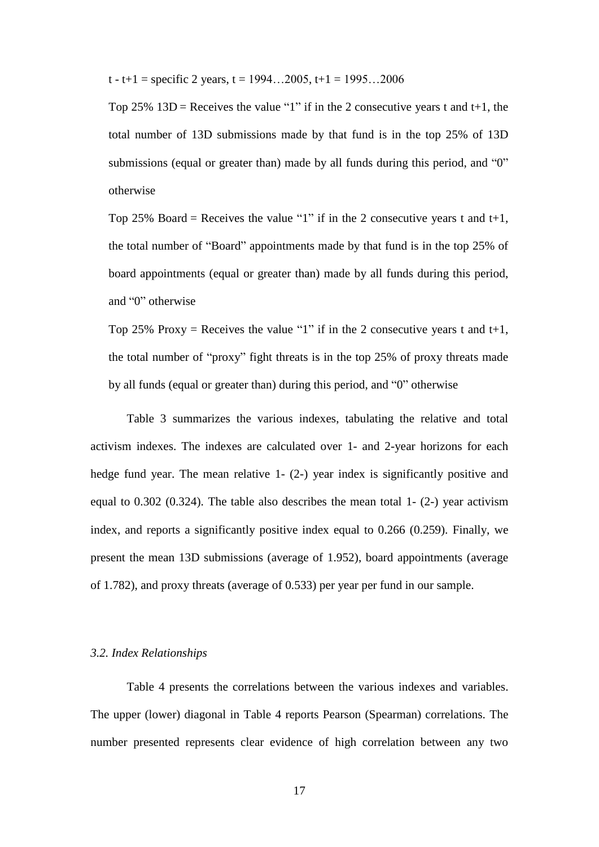t - t+1 = specific 2 years, t = 1994...2005, t+1 = 1995...2006

Top 25%  $13D =$  Receives the value "1" if in the 2 consecutive years t and t+1, the total number of 13D submissions made by that fund is in the top 25% of 13D submissions (equal or greater than) made by all funds during this period, and  $"0"$ otherwise

Top 25% Board = Receives the value "1" if in the 2 consecutive years t and t+1, the total number of "Board" appointments made by that fund is in the top 25% of board appointments (equal or greater than) made by all funds during this period, and "0" otherwise

Top 25% Proxy = Receives the value "1" if in the 2 consecutive years t and t+1, the total number of "proxy" fight threats is in the top  $25\%$  of proxy threats made by all funds (equal or greater than) during this period, and "0" otherwise

Table 3 summarizes the various indexes, tabulating the relative and total activism indexes. The indexes are calculated over 1- and 2-year horizons for each hedge fund year. The mean relative 1- (2-) year index is significantly positive and equal to 0.302 (0.324). The table also describes the mean total 1- (2-) year activism index, and reports a significantly positive index equal to 0.266 (0.259). Finally, we present the mean 13D submissions (average of 1.952), board appointments (average of 1.782), and proxy threats (average of 0.533) per year per fund in our sample.

#### *3.2. Index Relationships*

Table 4 presents the correlations between the various indexes and variables. The upper (lower) diagonal in Table 4 reports Pearson (Spearman) correlations. The number presented represents clear evidence of high correlation between any two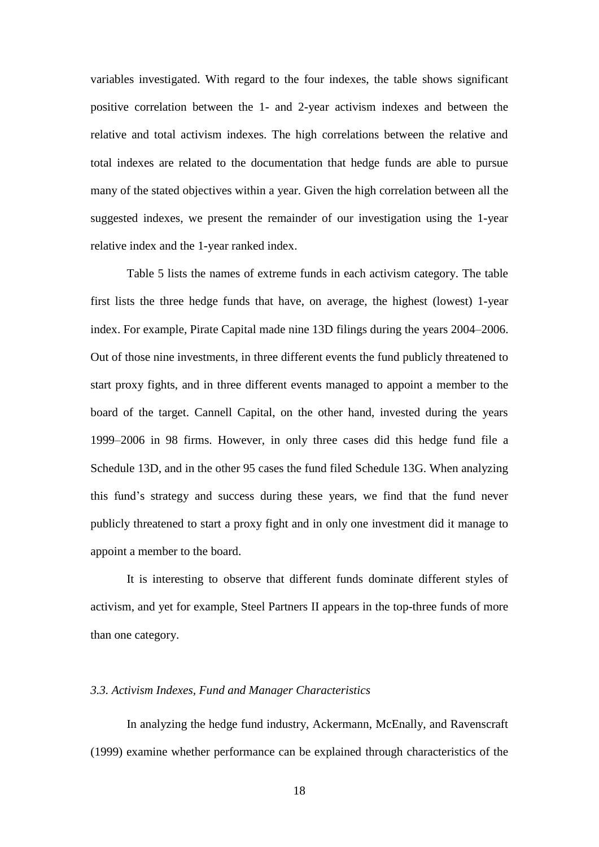variables investigated. With regard to the four indexes, the table shows significant positive correlation between the 1- and 2-year activism indexes and between the relative and total activism indexes. The high correlations between the relative and total indexes are related to the documentation that hedge funds are able to pursue many of the stated objectives within a year. Given the high correlation between all the suggested indexes, we present the remainder of our investigation using the 1-year relative index and the 1-year ranked index.

Table 5 lists the names of extreme funds in each activism category. The table first lists the three hedge funds that have, on average, the highest (lowest) 1-year index. For example, Pirate Capital made nine 13D filings during the years 2004–2006. Out of those nine investments, in three different events the fund publicly threatened to start proxy fights, and in three different events managed to appoint a member to the board of the target. Cannell Capital, on the other hand, invested during the years 1999–2006 in 98 firms. However, in only three cases did this hedge fund file a Schedule 13D, and in the other 95 cases the fund filed Schedule 13G. When analyzing this fund's strategy and success during these years, we find that the fund never publicly threatened to start a proxy fight and in only one investment did it manage to appoint a member to the board.

It is interesting to observe that different funds dominate different styles of activism, and yet for example, Steel Partners II appears in the top-three funds of more than one category.

#### *3.3. Activism Indexes, Fund and Manager Characteristics*

In analyzing the hedge fund industry, Ackermann, McEnally, and Ravenscraft (1999) examine whether performance can be explained through characteristics of the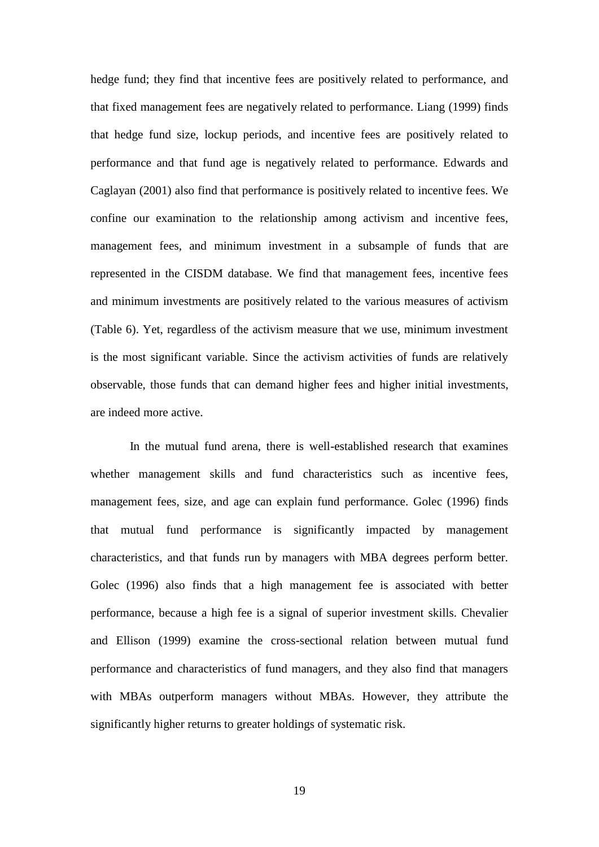hedge fund; they find that incentive fees are positively related to performance, and that fixed management fees are negatively related to performance. Liang (1999) finds that hedge fund size, lockup periods, and incentive fees are positively related to performance and that fund age is negatively related to performance. Edwards and Caglayan (2001) also find that performance is positively related to incentive fees. We confine our examination to the relationship among activism and incentive fees, management fees, and minimum investment in a subsample of funds that are represented in the CISDM database. We find that management fees, incentive fees and minimum investments are positively related to the various measures of activism (Table 6). Yet, regardless of the activism measure that we use, minimum investment is the most significant variable. Since the activism activities of funds are relatively observable, those funds that can demand higher fees and higher initial investments, are indeed more active.

In the mutual fund arena, there is well-established research that examines whether management skills and fund characteristics such as incentive fees, management fees, size, and age can explain fund performance. Golec (1996) finds that mutual fund performance is significantly impacted by management characteristics, and that funds run by managers with MBA degrees perform better. Golec (1996) also finds that a high management fee is associated with better performance, because a high fee is a signal of superior investment skills. Chevalier and Ellison (1999) examine the cross-sectional relation between mutual fund performance and characteristics of fund managers, and they also find that managers with MBAs outperform managers without MBAs. However, they attribute the significantly higher returns to greater holdings of systematic risk.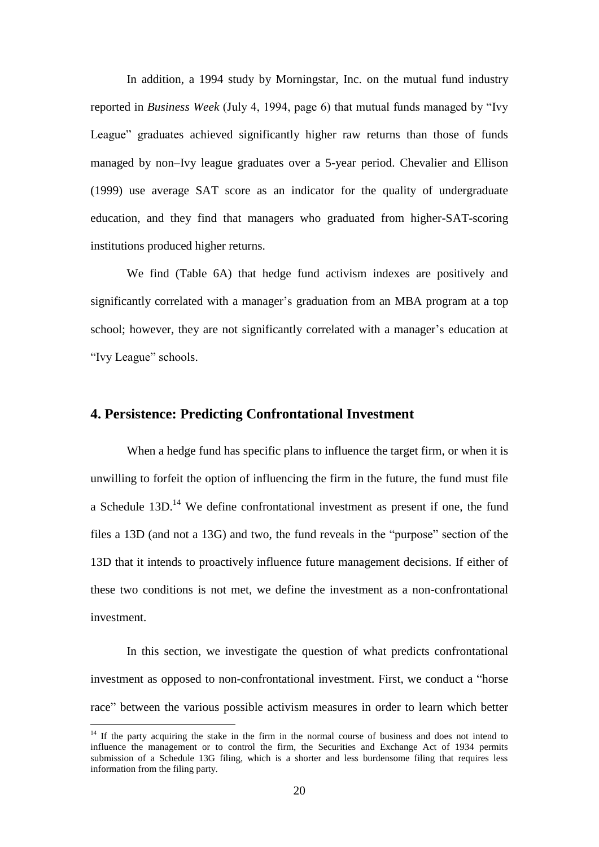In addition, a 1994 study by Morningstar, Inc. on the mutual fund industry reported in *Business Week* (July 4, 1994, page 6) that mutual funds managed by "Ivy League" graduates achieved significantly higher raw returns than those of funds managed by non–Ivy league graduates over a 5-year period. Chevalier and Ellison (1999) use average SAT score as an indicator for the quality of undergraduate education, and they find that managers who graduated from higher-SAT-scoring institutions produced higher returns.

We find (Table 6A) that hedge fund activism indexes are positively and significantly correlated with a manager's graduation from an MBA program at a top school; however, they are not significantly correlated with a manager's education at "Ivy League" schools.

### **4. Persistence: Predicting Confrontational Investment**

When a hedge fund has specific plans to influence the target firm, or when it is unwilling to forfeit the option of influencing the firm in the future, the fund must file a Schedule  $13D$ .<sup>14</sup> We define confrontational investment as present if one, the fund files a  $13D$  (and not a  $13G$ ) and two, the fund reveals in the "purpose" section of the 13D that it intends to proactively influence future management decisions. If either of these two conditions is not met, we define the investment as a non-confrontational investment.

In this section, we investigate the question of what predicts confrontational investment as opposed to non-confrontational investment. First, we conduct a "horse" race" between the various possible activism measures in order to learn which better

 $14$  If the party acquiring the stake in the firm in the normal course of business and does not intend to influence the management or to control the firm, the Securities and Exchange Act of 1934 permits submission of a Schedule 13G filing, which is a shorter and less burdensome filing that requires less information from the filing party.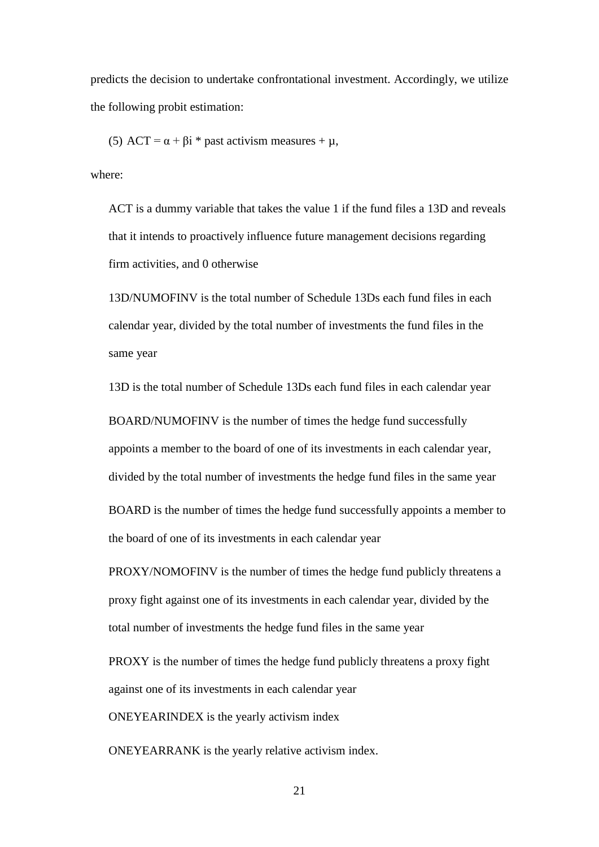predicts the decision to undertake confrontational investment. Accordingly, we utilize the following probit estimation:

(5) ACT =  $\alpha$  +  $\beta$ i \* past activism measures +  $\mu$ ,

where:

ACT is a dummy variable that takes the value 1 if the fund files a 13D and reveals that it intends to proactively influence future management decisions regarding firm activities, and 0 otherwise

13D/NUMOFINV is the total number of Schedule 13Ds each fund files in each calendar year, divided by the total number of investments the fund files in the same year

13D is the total number of Schedule 13Ds each fund files in each calendar year

BOARD/NUMOFINV is the number of times the hedge fund successfully appoints a member to the board of one of its investments in each calendar year, divided by the total number of investments the hedge fund files in the same year BOARD is the number of times the hedge fund successfully appoints a member to the board of one of its investments in each calendar year

PROXY/NOMOFINV is the number of times the hedge fund publicly threatens a proxy fight against one of its investments in each calendar year, divided by the total number of investments the hedge fund files in the same year

PROXY is the number of times the hedge fund publicly threatens a proxy fight against one of its investments in each calendar year

ONEYEARINDEX is the yearly activism index

ONEYEARRANK is the yearly relative activism index.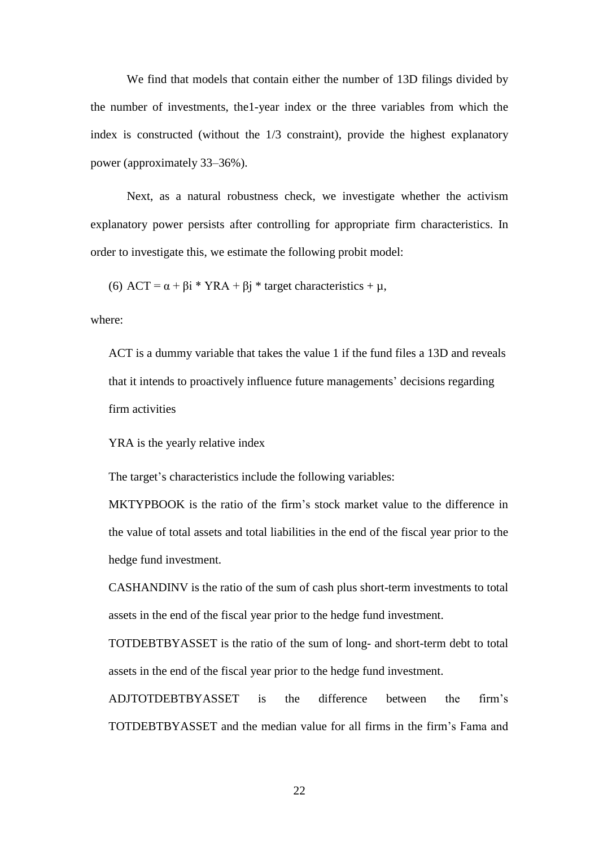We find that models that contain either the number of 13D filings divided by the number of investments, the1-year index or the three variables from which the index is constructed (without the 1/3 constraint), provide the highest explanatory power (approximately 33–36%).

Next, as a natural robustness check, we investigate whether the activism explanatory power persists after controlling for appropriate firm characteristics. In order to investigate this, we estimate the following probit model:

(6)  $ACT = \alpha + \beta i * YRA + \beta j * target characteristics + \mu$ ,

where:

ACT is a dummy variable that takes the value 1 if the fund files a 13D and reveals that it intends to proactively influence future managements' decisions regarding firm activities

YRA is the yearly relative index

The target's characteristics include the following variables:

MKTYPBOOK is the ratio of the firm's stock market value to the difference in the value of total assets and total liabilities in the end of the fiscal year prior to the hedge fund investment.

CASHANDINV is the ratio of the sum of cash plus short-term investments to total assets in the end of the fiscal year prior to the hedge fund investment.

TOTDEBTBYASSET is the ratio of the sum of long- and short-term debt to total assets in the end of the fiscal year prior to the hedge fund investment.

ADJTOTDEBTBYASSET is the difference between the firm's TOTDEBTBYASSET and the median value for all firms in the firm's Fama and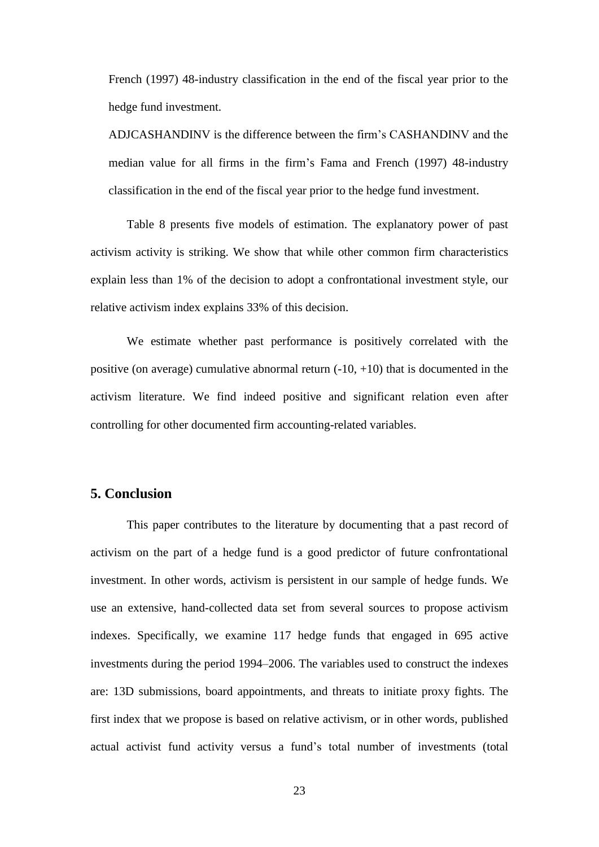French (1997) 48-industry classification in the end of the fiscal year prior to the hedge fund investment.

ADJCASHANDINV is the difference between the firm's CASHANDINV and the median value for all firms in the firm's Fama and French (1997) 48-industry classification in the end of the fiscal year prior to the hedge fund investment.

Table 8 presents five models of estimation. The explanatory power of past activism activity is striking. We show that while other common firm characteristics explain less than 1% of the decision to adopt a confrontational investment style, our relative activism index explains 33% of this decision.

We estimate whether past performance is positively correlated with the positive (on average) cumulative abnormal return  $(-10, +10)$  that is documented in the activism literature. We find indeed positive and significant relation even after controlling for other documented firm accounting-related variables.

## **5. Conclusion**

This paper contributes to the literature by documenting that a past record of activism on the part of a hedge fund is a good predictor of future confrontational investment. In other words, activism is persistent in our sample of hedge funds. We use an extensive, hand-collected data set from several sources to propose activism indexes. Specifically, we examine 117 hedge funds that engaged in 695 active investments during the period 1994–2006. The variables used to construct the indexes are: 13D submissions, board appointments, and threats to initiate proxy fights. The first index that we propose is based on relative activism, or in other words, published actual activist fund activity versus a fund's total number of investments (total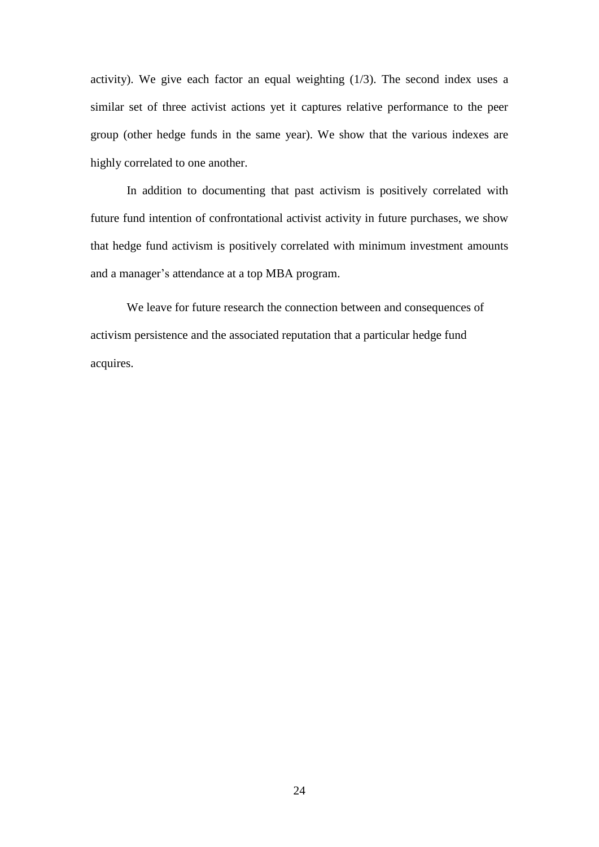activity). We give each factor an equal weighting (1/3). The second index uses a similar set of three activist actions yet it captures relative performance to the peer group (other hedge funds in the same year). We show that the various indexes are highly correlated to one another.

In addition to documenting that past activism is positively correlated with future fund intention of confrontational activist activity in future purchases, we show that hedge fund activism is positively correlated with minimum investment amounts and a manager's attendance at a top MBA program.

We leave for future research the connection between and consequences of activism persistence and the associated reputation that a particular hedge fund acquires.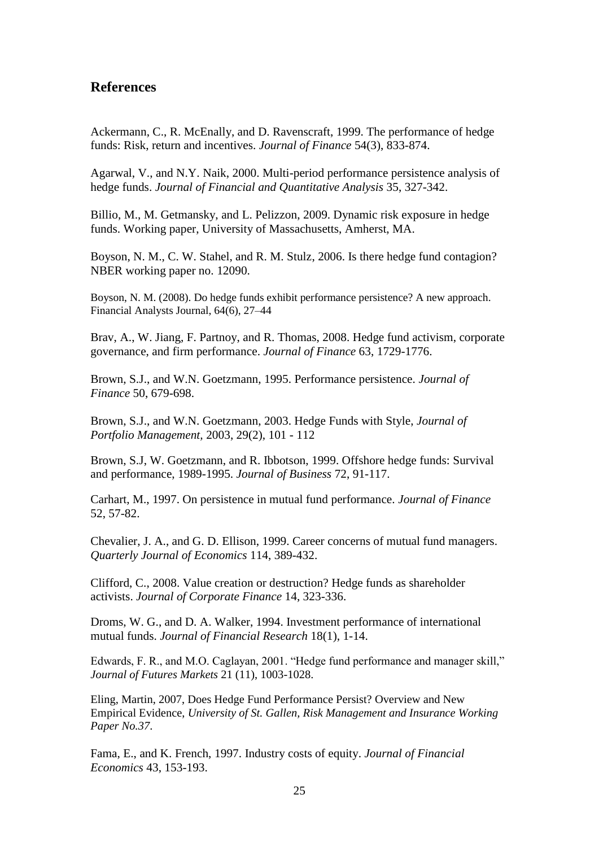## **References**

Ackermann, C., R. McEnally, and D. Ravenscraft, 1999. The performance of hedge funds: Risk, return and incentives. *Journal of Finance* 54(3), 833-874.

Agarwal, V., and N.Y. Naik, 2000. Multi-period performance persistence analysis of hedge funds. *Journal of Financial and Quantitative Analysis* 35, 327-342.

Billio, M., M. Getmansky, and L. Pelizzon, 2009. Dynamic risk exposure in hedge funds. Working paper, University of Massachusetts, Amherst, MA.

Boyson, N. M., C. W. Stahel, and R. M. Stulz, 2006. Is there hedge fund contagion? NBER working paper no. 12090.

Boyson, N. M. (2008). Do hedge funds exhibit performance persistence? A new approach. Financial Analysts Journal, 64(6), 27–44

Brav, A., W. Jiang, F. Partnoy, and R. Thomas, 2008. Hedge fund activism, corporate governance, and firm performance. *Journal of Finance* 63, 1729-1776.

Brown, S.J., and W.N. Goetzmann, 1995. Performance persistence. *Journal of Finance* 50, 679-698.

Brown, S.J., and W.N. Goetzmann, 2003. Hedge Funds with Style, *Journal of Portfolio Management,* 2003, 29(2), 101 - 112

Brown, S.J, W. Goetzmann, and R. Ibbotson, 1999. Offshore hedge funds: Survival and performance, 1989-1995. *Journal of Business* 72, 91-117.

Carhart, M., 1997. On persistence in mutual fund performance. *Journal of Finance* 52, 57-82.

Chevalier, J. A., and G. D. Ellison, 1999. Career concerns of mutual fund managers. *Quarterly Journal of Economics* 114, 389-432.

Clifford, C., 2008. Value creation or destruction? Hedge funds as shareholder activists. *Journal of Corporate Finance* 14, 323-336.

Droms, W. G., and D. A. Walker, 1994. Investment performance of international mutual funds. *Journal of Financial Research* 18(1), 1-14.

Edwards, F. R., and M.O. Caglayan, 2001. "Hedge fund performance and manager skill," *Journal of Futures Markets* 21 (11), 1003-1028.

Eling, Martin, 2007, Does Hedge Fund Performance Persist? Overview and New Empirical Evidence, *University of St. Gallen, Risk Management and Insurance Working Paper No.37*.

Fama, E., and K. French, 1997. Industry costs of equity. *Journal of Financial Economics* 43, 153-193.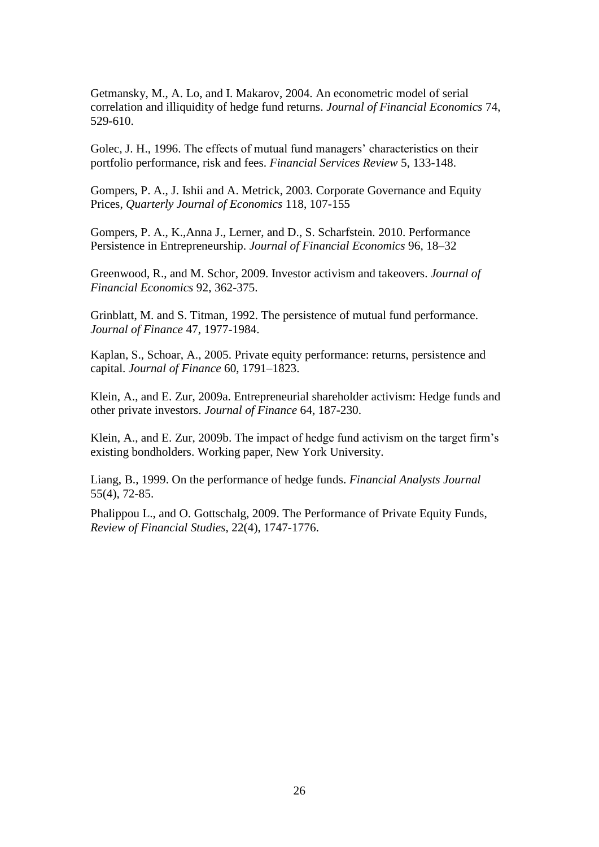Getmansky, M., A. Lo, and I. Makarov, 2004. An econometric model of serial correlation and illiquidity of hedge fund returns. *Journal of Financial Economics* 74, 529-610.

Golec, J. H., 1996. The effects of mutual fund managers' characteristics on their portfolio performance, risk and fees. *Financial Services Review* 5, 133-148.

Gompers, P. A., J. Ishii and A. Metrick, 2003. Corporate Governance and Equity Prices, *Quarterly Journal of Economics* 118, 107-155

Gompers, P. A., K.,Anna J., Lerner, and D., S. Scharfstein. 2010. Performance Persistence in Entrepreneurship. *Journal of Financial Economics* 96, 18–32

Greenwood, R., and M. Schor, 2009. Investor activism and takeovers. *Journal of Financial Economics* 92, 362-375.

Grinblatt, M. and S. Titman, 1992. The persistence of mutual fund performance. *Journal of Finance* 47, 1977-1984.

Kaplan, S., Schoar, A., 2005. Private equity performance: returns, persistence and capital. *Journal of Finance* 60, 1791–1823.

Klein, A., and E. Zur, 2009a. Entrepreneurial shareholder activism: Hedge funds and other private investors. *Journal of Finance* 64, 187-230.

Klein, A., and E. Zur, 2009b. The impact of hedge fund activism on the target firm's existing bondholders. Working paper, New York University.

Liang, B., 1999. On the performance of hedge funds. *Financial Analysts Journal* 55(4), 72-85.

Phalippou L., and O. Gottschalg, 2009. [The Performance of Private Equity Funds,](http://ideas.repec.org/a/oup/rfinst/v22y2009i4p1747-1776.html) *[Review of Financial Studies](http://ideas.repec.org/s/oup/rfinst.html)*, 22(4), 1747-1776.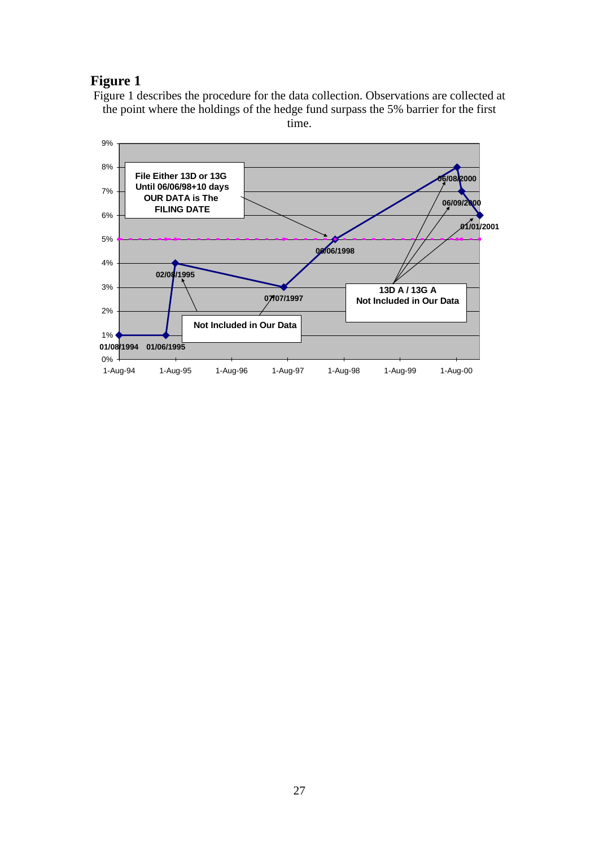## **Figure 1**

Figure 1 describes the procedure for the data collection. Observations are collected at the point where the holdings of the hedge fund surpass the 5% barrier for the first time.

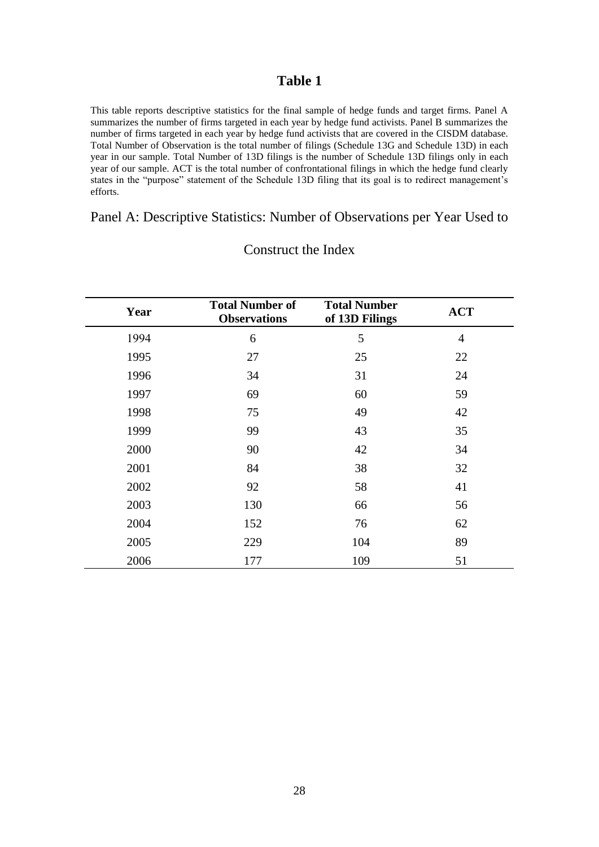This table reports descriptive statistics for the final sample of hedge funds and target firms. Panel A summarizes the number of firms targeted in each year by hedge fund activists. Panel B summarizes the number of firms targeted in each year by hedge fund activists that are covered in the CISDM database. Total Number of Observation is the total number of filings (Schedule 13G and Schedule 13D) in each year in our sample. Total Number of 13D filings is the number of Schedule 13D filings only in each year of our sample. ACT is the total number of confrontational filings in which the hedge fund clearly states in the "purpose" statement of the Schedule 13D filing that its goal is to redirect management's efforts.

## Panel A: Descriptive Statistics: Number of Observations per Year Used to

| Year | <b>Total Number of</b><br><b>Observations</b> | <b>Total Number</b><br>of 13D Filings | <b>ACT</b>     |
|------|-----------------------------------------------|---------------------------------------|----------------|
| 1994 | 6                                             | 5                                     | $\overline{4}$ |
| 1995 | 27                                            | 25                                    | 22             |
| 1996 | 34                                            | 31                                    | 24             |
| 1997 | 69                                            | 60                                    | 59             |
| 1998 | 75                                            | 49                                    | 42             |
| 1999 | 99                                            | 43                                    | 35             |
| 2000 | 90                                            | 42                                    | 34             |
| 2001 | 84                                            | 38                                    | 32             |
| 2002 | 92                                            | 58                                    | 41             |
| 2003 | 130                                           | 66                                    | 56             |
| 2004 | 152                                           | 76                                    | 62             |
| 2005 | 229                                           | 104                                   | 89             |
| 2006 | 177                                           | 109                                   | 51             |

Construct the Index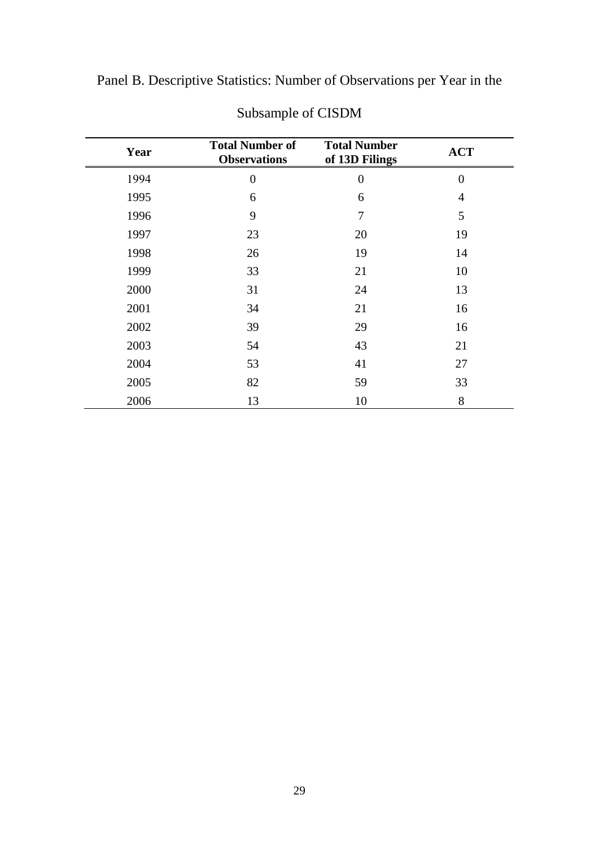Panel B. Descriptive Statistics: Number of Observations per Year in the

| Year | <b>Total Number of</b><br><b>Observations</b> | <b>Total Number</b><br>of 13D Filings | <b>ACT</b>     |
|------|-----------------------------------------------|---------------------------------------|----------------|
| 1994 | $\overline{0}$                                | $\boldsymbol{0}$                      | $\overline{0}$ |
| 1995 | 6                                             | 6                                     | $\overline{4}$ |
| 1996 | 9                                             | 7                                     | 5              |
| 1997 | 23                                            | 20                                    | 19             |
| 1998 | 26                                            | 19                                    | 14             |
| 1999 | 33                                            | 21                                    | 10             |
| 2000 | 31                                            | 24                                    | 13             |
| 2001 | 34                                            | 21                                    | 16             |
| 2002 | 39                                            | 29                                    | 16             |
| 2003 | 54                                            | 43                                    | 21             |
| 2004 | 53                                            | 41                                    | 27             |
| 2005 | 82                                            | 59                                    | 33             |
| 2006 | 13                                            | 10                                    | 8              |

Subsample of CISDM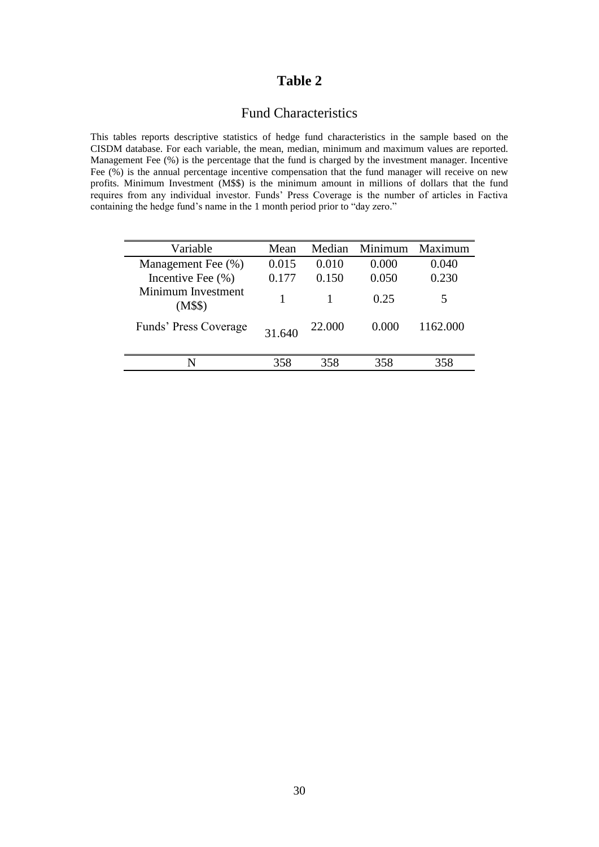## Fund Characteristics

This tables reports descriptive statistics of hedge fund characteristics in the sample based on the CISDM database. For each variable, the mean, median, minimum and maximum values are reported. Management Fee (%) is the percentage that the fund is charged by the investment manager. Incentive Fee  $(\%)$  is the annual percentage incentive compensation that the fund manager will receive on new profits. Minimum Investment (M\$\$) is the minimum amount in millions of dollars that the fund requires from any individual investor. Funds' Press Coverage is the number of articles in Factiva containing the hedge fund's name in the 1 month period prior to "day zero."

| Variable                      | Mean   | Median | Minimum | Maximum  |
|-------------------------------|--------|--------|---------|----------|
| Management Fee (%)            | 0.015  | 0.010  | 0.000   | 0.040    |
| Incentive Fee $(\% )$         | 0.177  | 0.150  | 0.050   | 0.230    |
| Minimum Investment<br>(M\$\$) |        |        | 0.25    | 5        |
| Funds' Press Coverage         | 31.640 | 22.000 | 0.000   | 1162.000 |
| N                             | 358    | 358    | 358     | 358      |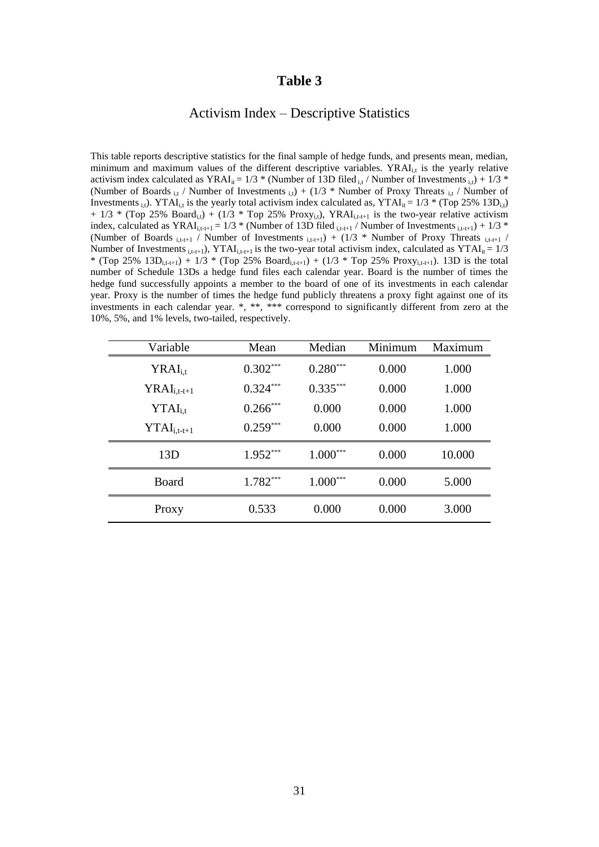#### Activism Index – Descriptive Statistics

This table reports descriptive statistics for the final sample of hedge funds, and presents mean, median, minimum and maximum values of the different descriptive variables.  $YRAI<sub>i,t</sub>$  is the yearly relative activism index calculated as YRAI<sub>it</sub> = 1/3 \* (Number of 13D filed  $_{i,t}$  / Number of Investments  $_{i,t}$ ) + 1/3 \* (Number of Boards <sub>i,t</sub> / Number of Investments <sub>i,t</sub>) + (1/3  $*$  Number of Proxy Threats <sub>i,t</sub> / Number of Investments i.i.). YTAI<sub>i,t</sub> is the yearly total activism index calculated as, YTAI<sub>it</sub> =  $1/3$  \* (Top 25% 13D<sub>i,t</sub>)  $+ 1/3$  \* (Top 25% Board<sub>i,t</sub>) + (1/3 \* Top 25% Proxy<sub>i,t</sub>), YRAI<sub>i,t-t+1</sub> is the two-year relative activism index, calculated as YRAI<sub>i,t-t+1</sub> = 1/3 \* (Number of 13D filed  $_{i,t-t+1}$  / Number of Investments  $_{i,t-t+1}$ ) + 1/3 \* (Number of Boards  $_{i,t-t+1}$  / Number of Investments  $_{i,t-t+1}$ ) + (1/3 \* Number of Proxy Threats  $_{i,t-t+1}$  / Number of Investments  $_{i,t_{t+1}}$ ), YTAI<sub>i,t-t+1</sub> is the two-year total activism index, calculated as YTAI<sub>it</sub> = 1/3 \* (Top 25% 13D<sub>i,t-t+1</sub>) + 1/3 \* (Top 25% Board<sub>i,t-t+1</sub>) + (1/3 \* Top 25% Proxy<sub>i,t-t+1</sub>). 13D is the total number of Schedule 13Ds a hedge fund files each calendar year. Board is the number of times the hedge fund successfully appoints a member to the board of one of its investments in each calendar year. Proxy is the number of times the hedge fund publicly threatens a proxy fight against one of its investments in each calendar year. \*, \*\*\* correspond to significantly different from zero at the 10%, 5%, and 1% levels, two-tailed, respectively.

| Variable            | Mean       | Median     | Minimum | Maximum |
|---------------------|------------|------------|---------|---------|
| $YRAI_{i.t}$        | $0.302***$ | $0.280***$ | 0.000   | 1.000   |
| $YRAI_{i,t-t+1}$    | $0.324***$ | $0.335***$ | 0.000   | 1.000   |
| $\text{YTAI}_{i.t}$ | $0.266***$ | 0.000      | 0.000   | 1.000   |
| $YTAI_{i,t-t+1}$    | $0.259***$ | 0.000      | 0.000   | 1.000   |
| 13D                 | $1.952***$ | $1.000***$ | 0.000   | 10.000  |
| Board               | 1.782***   | $1.000***$ | 0.000   | 5.000   |
| Proxy               | 0.533      | 0.000      | 0.000   | 3.000   |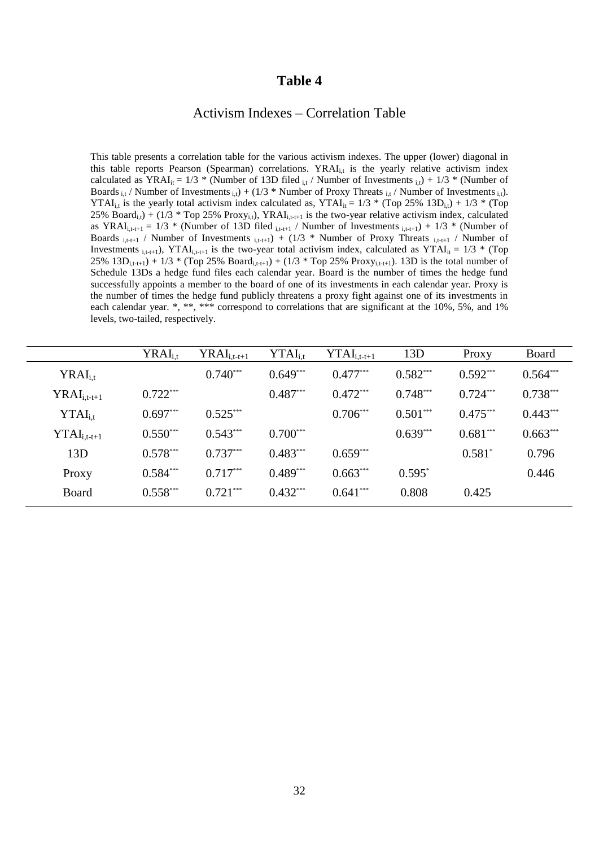#### Activism Indexes – Correlation Table

This table presents a correlation table for the various activism indexes. The upper (lower) diagonal in this table reports Pearson (Spearman) correlations.  $YRAI_{i,t}$  is the yearly relative activism index calculated as  $YRAI_{it} = 1/3$  \* (Number of 13D filed  $_{it}$  / Number of Investments  $_{it}$ ) + 1/3 \* (Number of Boards  $_{i,t}$  / Number of Investments  $_{i,t}$ ) + (1/3 \* Number of Proxy Threats  $_{i,t}$  / Number of Investments  $_{i,t}$ ). YTAI<sub>i,t</sub> is the yearly total activism index calculated as, YTAI<sub>it</sub> =  $1/3$  \* (Top 25% 13D<sub>i,t</sub>) + 1/3 \* (Top 25% Board<sub>i,t</sub>) + (1/3 \* Top 25% Proxy<sub>i,t</sub>), YRAI<sub>i,t-t+1</sub> is the two-year relative activism index, calculated as YRAI<sub>i,t-t+1</sub> = 1/3 \* (Number of 13D filed  $_{i,t-t+1}$  / Number of Investments  $_{i,t-t+1}$ ) + 1/3 \* (Number of Boards  $_{i,t+t+1}$  / Number of Investments  $_{i,t+t+1}$ ) + (1/3 \* Number of Proxy Threats  $_{i,t+t+1}$  / Number of Investments <sub>i,t-t+1</sub>), YTAI<sub>i,t-t+1</sub> is the two-year total activism index, calculated as YTAI<sub>it</sub> = 1/3 \* (Top 25%  $13D_{i,t-t+1}$ ) + 1/3 \* (Top 25% Board<sub>i,t-t+1</sub>) + (1/3 \* Top 25% Proxy<sub>i,t-t+1</sub>). 13D is the total number of Schedule 13Ds a hedge fund files each calendar year. Board is the number of times the hedge fund successfully appoints a member to the board of one of its investments in each calendar year. Proxy is the number of times the hedge fund publicly threatens a proxy fight against one of its investments in each calendar year. \*, \*\*, \*\*\* correspond to correlations that are significant at the 10%, 5%, and 1% levels, two-tailed, respectively.

|                         | $YRAI_{i,t}$ | $\rm YRAI_{i,t-t+1}$ | $\text{YTAI}_{i.t}$ | $\text{YTAI}_{i,t-t+1}$ | 13D        | Proxy      | Board      |
|-------------------------|--------------|----------------------|---------------------|-------------------------|------------|------------|------------|
| $YRAI_{i,t}$            |              | $0.740***$           | $0.649***$          | $0.477***$              | $0.582***$ | $0.592***$ | $0.564***$ |
| $YRAI_{i,t-t+1}$        | $0.722***$   |                      | $0.487***$          | $0.472***$              | $0.748***$ | $0.724***$ | $0.738***$ |
| $\text{YTAI}_{i.t}$     | $0.697***$   | $0.525***$           |                     | $0.706***$              | $0.501***$ | $0.475***$ | $0.443***$ |
| $\text{YTAI}_{i,t-t+1}$ | $0.550***$   | $0.543***$           | $0.700***$          |                         | $0.639***$ | $0.681***$ | $0.663***$ |
| 13D                     | $0.578***$   | $0.737***$           | $0.483***$          | $0.659***$              |            | $0.581^*$  | 0.796      |
| Proxy                   | $0.584***$   | $0.717***$           | $0.489***$          | $0.663***$              | $0.595*$   |            | 0.446      |
| Board                   | $0.558***$   | $0.721***$           | $0.432***$          | $0.641***$              | 0.808      | 0.425      |            |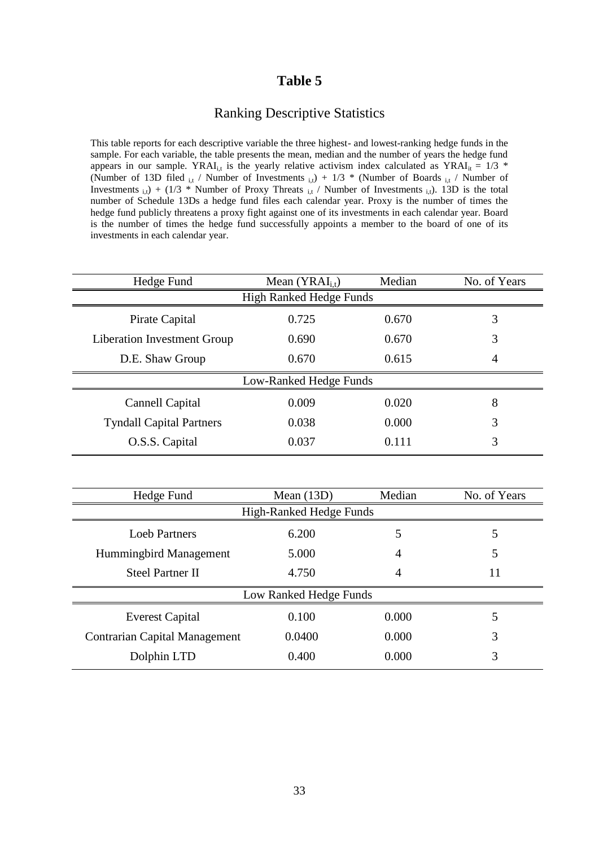## Ranking Descriptive Statistics

This table reports for each descriptive variable the three highest- and lowest-ranking hedge funds in the sample. For each variable, the table presents the mean, median and the number of years the hedge fund appears in our sample. YRAI<sub>i,t</sub> is the yearly relative activism index calculated as YRAI<sub>it</sub> = 1/3 \* (Number of 13D filed  $_{i,t}$  / Number of Investments  $_{i,t}$ ) + 1/3 \* (Number of Boards  $_{i,t}$  / Number of Investments  $_{i,t}$ ) + (1/3 \* Number of Proxy Threats  $_{i,t}$  / Number of Investments  $_{i,t}$ ). 13D is the total number of Schedule 13Ds a hedge fund files each calendar year. Proxy is the number of times the hedge fund publicly threatens a proxy fight against one of its investments in each calendar year. Board is the number of times the hedge fund successfully appoints a member to the board of one of its investments in each calendar year.

| Hedge Fund                      | Mean $(YRAI_{i,t})$            | Median | No. of Years |  |  |  |  |  |
|---------------------------------|--------------------------------|--------|--------------|--|--|--|--|--|
|                                 | <b>High Ranked Hedge Funds</b> |        |              |  |  |  |  |  |
| Pirate Capital                  | 0.725                          | 0.670  | 3            |  |  |  |  |  |
| Liberation Investment Group     | 0.690                          | 0.670  | 3            |  |  |  |  |  |
| D.E. Shaw Group                 | 0.670                          | 0.615  | 4            |  |  |  |  |  |
|                                 | Low-Ranked Hedge Funds         |        |              |  |  |  |  |  |
| Cannell Capital                 | 0.009                          | 0.020  | 8            |  |  |  |  |  |
| <b>Tyndall Capital Partners</b> | 0.038                          | 0.000  | 3            |  |  |  |  |  |
| O.S.S. Capital                  | 0.037                          | 0.111  | 3            |  |  |  |  |  |
|                                 |                                |        |              |  |  |  |  |  |

| Mean $(13D)$            | Median | No. of Years           |  |  |  |  |  |
|-------------------------|--------|------------------------|--|--|--|--|--|
| High-Ranked Hedge Funds |        |                        |  |  |  |  |  |
| 6.200                   | 5      | 5                      |  |  |  |  |  |
| 5.000                   | 4      | 5                      |  |  |  |  |  |
| 4.750                   | 4      | 11                     |  |  |  |  |  |
|                         |        |                        |  |  |  |  |  |
| 0.100                   | 0.000  | 5                      |  |  |  |  |  |
| 0.0400                  | 0.000  | 3                      |  |  |  |  |  |
| 0.400                   | 0.000  | 3                      |  |  |  |  |  |
|                         |        | Low Ranked Hedge Funds |  |  |  |  |  |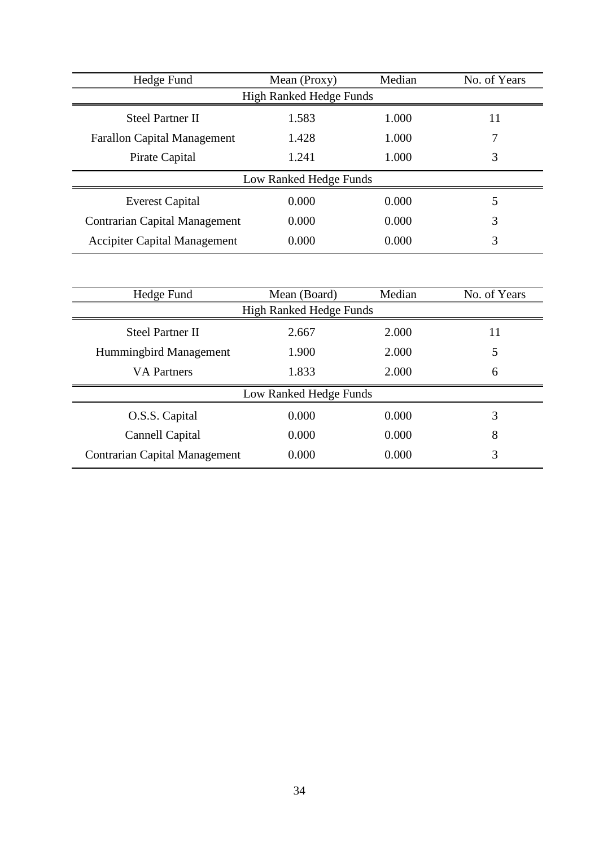| Hedge Fund                           | Mean (Proxy)           | Median | No. of Years |  |  |  |  |
|--------------------------------------|------------------------|--------|--------------|--|--|--|--|
| <b>High Ranked Hedge Funds</b>       |                        |        |              |  |  |  |  |
| <b>Steel Partner II</b>              | 1.583                  | 1.000  | 11           |  |  |  |  |
| <b>Farallon Capital Management</b>   | 1.428                  | 1.000  |              |  |  |  |  |
| Pirate Capital                       | 1.241                  | 1.000  | 3            |  |  |  |  |
|                                      | Low Ranked Hedge Funds |        |              |  |  |  |  |
| <b>Everest Capital</b>               | 0.000                  | 0.000  | 5            |  |  |  |  |
| <b>Contrarian Capital Management</b> | 0.000                  | 0.000  | 3            |  |  |  |  |
| <b>Accipiter Capital Management</b>  | 0.000                  | 0.000  | 3            |  |  |  |  |

| Hedge Fund                           | Mean (Board)                   | Median | No. of Years |  |  |  |  |  |
|--------------------------------------|--------------------------------|--------|--------------|--|--|--|--|--|
|                                      | <b>High Ranked Hedge Funds</b> |        |              |  |  |  |  |  |
| <b>Steel Partner II</b>              | 2.667                          | 2.000  | 11           |  |  |  |  |  |
| Hummingbird Management               | 1.900                          | 2.000  | 5            |  |  |  |  |  |
| <b>VA</b> Partners                   | 1.833                          | 2.000  | 6            |  |  |  |  |  |
|                                      | Low Ranked Hedge Funds         |        |              |  |  |  |  |  |
| O.S.S. Capital                       | 0.000                          | 0.000  | 3            |  |  |  |  |  |
| Cannell Capital                      | 0.000                          | 0.000  | 8            |  |  |  |  |  |
| <b>Contrarian Capital Management</b> | 0.000                          | 0.000  | 3            |  |  |  |  |  |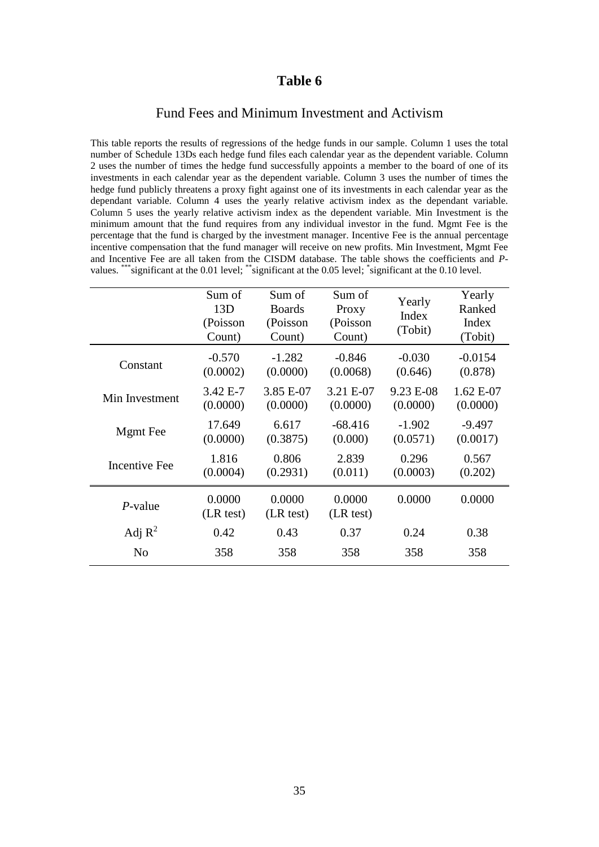#### Fund Fees and Minimum Investment and Activism

This table reports the results of regressions of the hedge funds in our sample. Column 1 uses the total number of Schedule 13Ds each hedge fund files each calendar year as the dependent variable. Column 2 uses the number of times the hedge fund successfully appoints a member to the board of one of its investments in each calendar year as the dependent variable. Column 3 uses the number of times the hedge fund publicly threatens a proxy fight against one of its investments in each calendar year as the dependant variable. Column 4 uses the yearly relative activism index as the dependant variable. Column 5 uses the yearly relative activism index as the dependent variable. Min Investment is the minimum amount that the fund requires from any individual investor in the fund. Mgmt Fee is the percentage that the fund is charged by the investment manager. Incentive Fee is the annual percentage incentive compensation that the fund manager will receive on new profits. Min Investment, Mgmt Fee and Incentive Fee are all taken from the CISDM database. The table shows the coefficients and *P*values. \*\*\* significant at the 0.01 level; \*\* significant at the 0.05 level; \*significant at the 0.10 level.

|                      | Sum of<br>13D<br>(Poisson<br>Count) | Sum of<br><b>Boards</b><br>(Poisson<br>Count) | Sum of<br>Proxy<br>(Poisson<br>Count) | Yearly<br>Index<br>(Tobit) | Yearly<br>Ranked<br>Index<br>(Tobit) |
|----------------------|-------------------------------------|-----------------------------------------------|---------------------------------------|----------------------------|--------------------------------------|
| Constant             | $-0.570$                            | $-1.282$                                      | $-0.846$                              | $-0.030$                   | $-0.0154$                            |
|                      | (0.0002)                            | (0.0000)                                      | (0.0068)                              | (0.646)                    | (0.878)                              |
| Min Investment       | 3.42 E-7                            | 3.85 E-07                                     | 3.21 E-07                             | 9.23 E-08                  | $1.62 E-07$                          |
|                      | (0.0000)                            | (0.0000)                                      | (0.0000)                              | (0.0000)                   | (0.0000)                             |
| <b>Mgmt</b> Fee      | 17.649                              | 6.617                                         | $-68.416$                             | $-1.902$                   | $-9.497$                             |
|                      | (0.0000)                            | (0.3875)                                      | (0.000)                               | (0.0571)                   | (0.0017)                             |
| <b>Incentive Fee</b> | 1.816                               | 0.806                                         | 2.839                                 | 0.296                      | 0.567                                |
|                      | (0.0004)                            | (0.2931)                                      | (0.011)                               | (0.0003)                   | (0.202)                              |
| $P$ -value           | 0.0000<br>(LR test)                 | 0.0000<br>(LR test)                           | 0.0000<br>(LR test)                   | 0.0000                     | 0.0000                               |
| Adj $R^2$            | 0.42                                | 0.43                                          | 0.37                                  | 0.24                       | 0.38                                 |
| N <sub>0</sub>       | 358                                 | 358                                           | 358                                   | 358                        | 358                                  |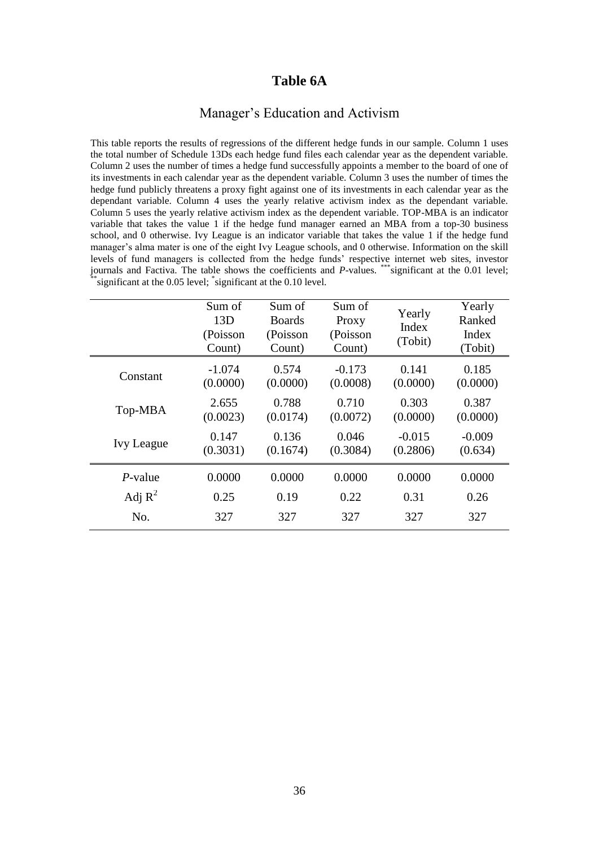## **Table 6A**

#### Manager's Education and Activism

This table reports the results of regressions of the different hedge funds in our sample. Column 1 uses the total number of Schedule 13Ds each hedge fund files each calendar year as the dependent variable. Column 2 uses the number of times a hedge fund successfully appoints a member to the board of one of its investments in each calendar year as the dependent variable. Column 3 uses the number of times the hedge fund publicly threatens a proxy fight against one of its investments in each calendar year as the dependant variable. Column 4 uses the yearly relative activism index as the dependant variable. Column 5 uses the yearly relative activism index as the dependent variable. TOP-MBA is an indicator variable that takes the value 1 if the hedge fund manager earned an MBA from a top-30 business school, and 0 otherwise. Ivy League is an indicator variable that takes the value 1 if the hedge fund manager's alma mater is one of the eight Ivy League schools, and 0 otherwise. Information on the skill levels of fund managers is collected from the hedge funds' respective internet web sites, investor journals and Factiva. The table shows the coefficients and *P*-values. \*\*\* significant at the 0.01 level; \*\*significant at the 0.05 level; \*significant at the 0.10 level.

|                   | Sum of<br>13D<br>(Poisson<br>Count) | Sum of<br><b>Boards</b><br>(Poisson<br>Count) | Sum of<br>Proxy<br>(Poisson<br>Count) | Yearly<br>Index<br>(Tobit) | Yearly<br>Ranked<br>Index<br>(Tobit) |
|-------------------|-------------------------------------|-----------------------------------------------|---------------------------------------|----------------------------|--------------------------------------|
| Constant          | $-1.074$<br>(0.0000)                | 0.574<br>(0.0000)                             | $-0.173$<br>(0.0008)                  | 0.141<br>(0.0000)          | 0.185<br>(0.0000)                    |
| Top-MBA           | 2.655<br>(0.0023)                   | 0.788<br>(0.0174)                             | 0.710<br>(0.0072)                     | 0.303<br>(0.0000)          | 0.387<br>(0.0000)                    |
| <b>Ivy League</b> | 0.147<br>(0.3031)                   | 0.136<br>(0.1674)                             | 0.046<br>(0.3084)                     | $-0.015$<br>(0.2806)       | $-0.009$<br>(0.634)                  |
| $P$ -value        | 0.0000                              | 0.0000                                        | 0.0000                                | 0.0000                     | 0.0000                               |
| Adj $R^2$         | 0.25                                | 0.19                                          | 0.22                                  | 0.31                       | 0.26                                 |
| No.               | 327                                 | 327                                           | 327                                   | 327                        | 327                                  |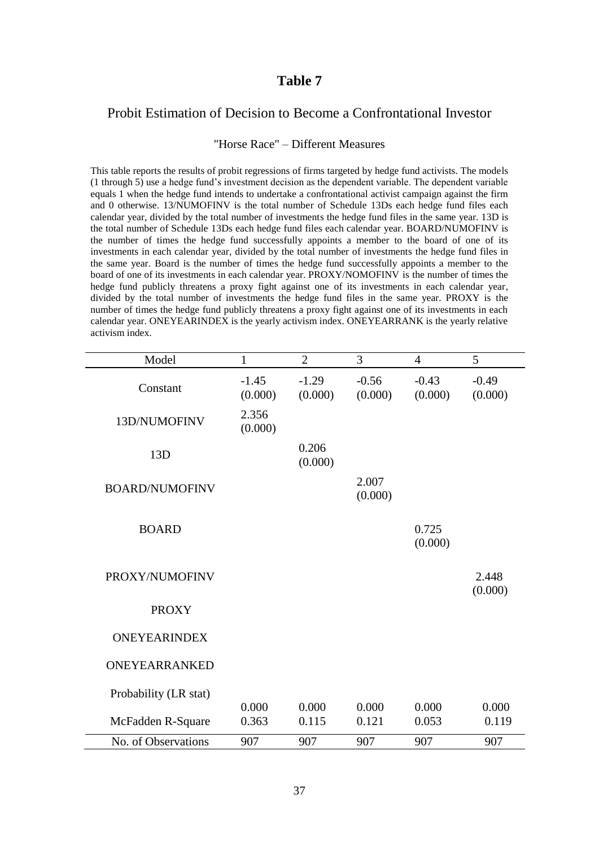## Probit Estimation of Decision to Become a Confrontational Investor

#### "Horse Race" – Different Measures

This table reports the results of probit regressions of firms targeted by hedge fund activists. The models  $(1$  through  $5)$  use a hedge fund's investment decision as the dependent variable. The dependent variable equals 1 when the hedge fund intends to undertake a confrontational activist campaign against the firm and 0 otherwise. 13/NUMOFINV is the total number of Schedule 13Ds each hedge fund files each calendar year, divided by the total number of investments the hedge fund files in the same year. 13D is the total number of Schedule 13Ds each hedge fund files each calendar year. BOARD/NUMOFINV is the number of times the hedge fund successfully appoints a member to the board of one of its investments in each calendar year, divided by the total number of investments the hedge fund files in the same year. Board is the number of times the hedge fund successfully appoints a member to the board of one of its investments in each calendar year. PROXY/NOMOFINV is the number of times the hedge fund publicly threatens a proxy fight against one of its investments in each calendar year, divided by the total number of investments the hedge fund files in the same year. PROXY is the number of times the hedge fund publicly threatens a proxy fight against one of its investments in each calendar year. ONEYEARINDEX is the yearly activism index. ONEYEARRANK is the yearly relative activism index.

| Model                 | $\mathbf{1}$       | $\overline{2}$     | $\overline{3}$     | $\overline{4}$     | 5                  |
|-----------------------|--------------------|--------------------|--------------------|--------------------|--------------------|
| Constant              | $-1.45$<br>(0.000) | $-1.29$<br>(0.000) | $-0.56$<br>(0.000) | $-0.43$<br>(0.000) | $-0.49$<br>(0.000) |
| 13D/NUMOFINV          | 2.356<br>(0.000)   |                    |                    |                    |                    |
| 13D                   |                    | 0.206<br>(0.000)   |                    |                    |                    |
| <b>BOARD/NUMOFINV</b> |                    |                    | 2.007<br>(0.000)   |                    |                    |
| <b>BOARD</b>          |                    |                    |                    | 0.725<br>(0.000)   |                    |
| PROXY/NUMOFINV        |                    |                    |                    |                    | 2.448<br>(0.000)   |
| <b>PROXY</b>          |                    |                    |                    |                    |                    |
| <b>ONEYEARINDEX</b>   |                    |                    |                    |                    |                    |
| ONEYEARRANKED         |                    |                    |                    |                    |                    |
| Probability (LR stat) | 0.000              | 0.000              | 0.000              | 0.000              | 0.000              |
| McFadden R-Square     | 0.363              | 0.115              | 0.121              | 0.053              | 0.119              |
| No. of Observations   | 907                | 907                | 907                | 907                | 907                |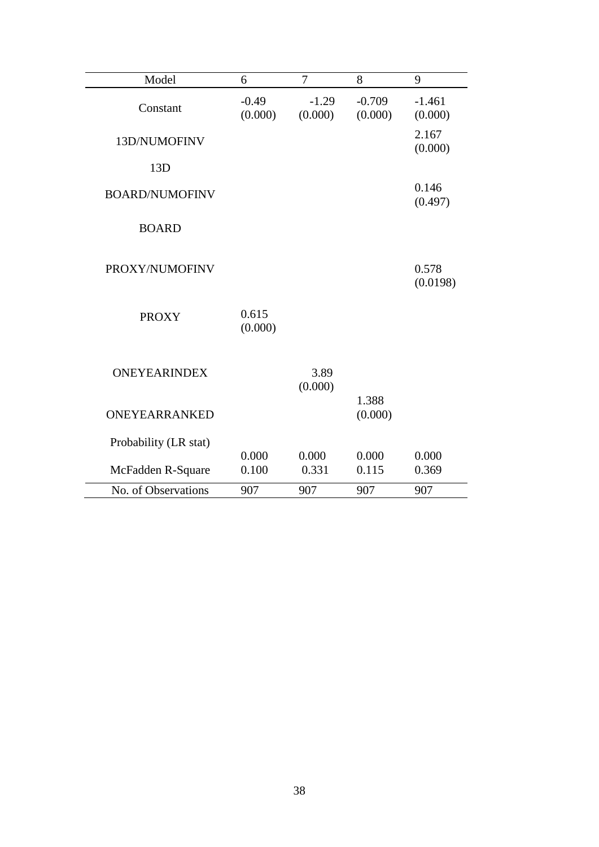| Model                 | 6                  | $\overline{7}$     | 8                   | 9                   |
|-----------------------|--------------------|--------------------|---------------------|---------------------|
| Constant              | $-0.49$<br>(0.000) | $-1.29$<br>(0.000) | $-0.709$<br>(0.000) | $-1.461$<br>(0.000) |
| 13D/NUMOFINV          |                    |                    |                     | 2.167<br>(0.000)    |
| 13D                   |                    |                    |                     |                     |
| <b>BOARD/NUMOFINV</b> |                    |                    |                     | 0.146<br>(0.497)    |
| <b>BOARD</b>          |                    |                    |                     |                     |
| PROXY/NUMOFINV        |                    |                    |                     | 0.578<br>(0.0198)   |
| <b>PROXY</b>          | 0.615<br>(0.000)   |                    |                     |                     |
| <b>ONEYEARINDEX</b>   |                    | 3.89<br>(0.000)    | 1.388               |                     |
| ONEYEARRANKED         |                    |                    | (0.000)             |                     |
| Probability (LR stat) |                    |                    |                     |                     |
| McFadden R-Square     | 0.000<br>0.100     | 0.000<br>0.331     | 0.000<br>0.115      | 0.000<br>0.369      |
| No. of Observations   | 907                | 907                | 907                 | 907                 |